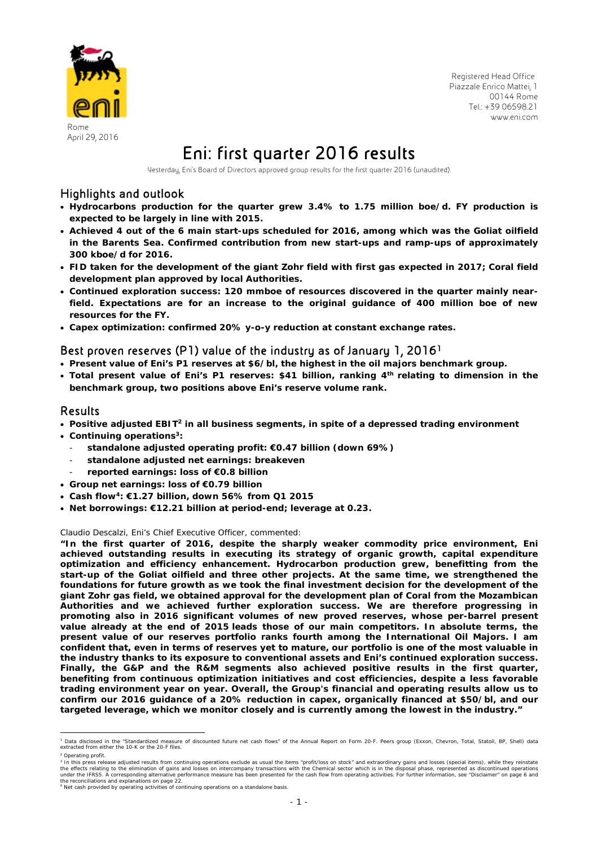

 Registered Head Office Piazzale Enrico Mattei, 1 00144 Rome Tel.: +39 06598.21 www.eni.com

# April 29, 2016 Eni: first quarter 2016 results

Yesterday, Eni's Board of Directors approved group results for the first quarter 2016 (unaudited).

### Highlights and outlook

- **Hydrocarbons production for the quarter grew 3.4% to 1.75 million boe/d. FY production is expected to be largely in line with 2015.**
- **Achieved 4 out of the 6 main start-ups scheduled for 2016, among which was the Goliat oilfield in the Barents Sea. Confirmed contribution from new start-ups and ramp-ups of approximately 300 kboe/d for 2016.**
- **FID taken for the development of the giant Zohr field with first gas expected in 2017; Coral field development plan approved by local Authorities.**
- **Continued exploration success: 120 mmboe of resources discovered in the quarter mainly nearfield. Expectations are for an increase to the original guidance of 400 million boe of new resources for the FY.**
- **Capex optimization: confirmed 20% y-o-y reduction at constant exchange rates.**

### Best proven reserves (P1) value of the industry as of January 1, 20161

- **Present value of Eni's P1 reserves at \$6/bl, the highest in the oil majors benchmark group.**
- Total present value of Eni's P1 reserves: \$41 billion, ranking 4<sup>th</sup> relating to dimension in the **benchmark group, two positions above Eni's reserve volume rank.**

### Results

- **Positive adjusted EBIT2 in all business segments, in spite of a depressed trading environment**
- **Continuing operations3:** 
	- **standalone adjusted operating profit: €0.47 billion (down 69%)**
	- **standalone adjusted net earnings: breakeven**
	- **reported earnings: loss of €0.8 billion**
- **Group net earnings: loss of €0.79 billion**
- **Cash flow4: €1.27 billion, down 56% from Q1 2015**
- **Net borrowings: €12.21 billion at period-end; leverage at 0.23.**

#### Claudio Descalzi, Eni's Chief Executive Officer*,* commented:

**"In the first quarter of 2016, despite the sharply weaker commodity price environment, Eni achieved outstanding results in executing its strategy of organic growth, capital expenditure optimization and efficiency enhancement. Hydrocarbon production grew, benefitting from the start-up of the Goliat oilfield and three other projects. At the same time, we strengthened the foundations for future growth as we took the final investment decision for the development of the giant Zohr gas field, we obtained approval for the development plan of Coral from the Mozambican Authorities and we achieved further exploration success. We are therefore progressing in promoting also in 2016 significant volumes of new proved reserves, whose per-barrel present value already at the end of 2015 leads those of our main competitors. In absolute terms, the present value of our reserves portfolio ranks fourth among the International Oil Majors. I am confident that, even in terms of reserves yet to mature, our portfolio is one of the most valuable in the industry thanks to its exposure to conventional assets and Eni's continued exploration success. Finally, the G&P and the R&M segments also achieved positive results in the first quarter, benefiting from continuous optimization initiatives and cost efficiencies, despite a less favorable trading environment year on year. Overall, the Group's financial and operating results allow us to confirm our 2016 guidance of a 20% reduction in capex, organically financed at \$50/bl, and our targeted leverage, which we monitor closely and is currently among the lowest in the industry."** 

<sup>2</sup> Operating profit.

<sup>&</sup>lt;sup>1</sup> Data disclosed in the "Standardized measure of discounted future net cash flows" of the Annual Report on Form 20-F. Peers group (Exxon, Chevron, Total, Statoil, BP, Shell) data<br>extracted from either the 10-K or the 20-

<sup>&</sup>lt;sup>2</sup> Operating profit.<br><sup>3</sup> In this press release adjusted results from continuing operations exclude as usual the items "profit/loss on stock" and extraordinary gains and losses (special items), while they reinstate<br>the eff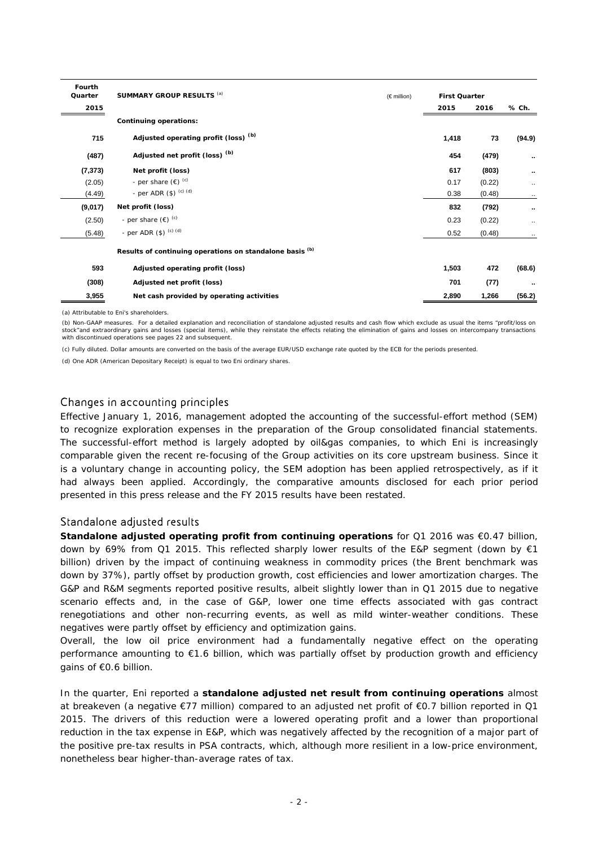| Fourth<br>Quarter | SUMMARY GROUP RESULTS (a)                                | $(\in$ million) | <b>First Quarter</b> |        |           |
|-------------------|----------------------------------------------------------|-----------------|----------------------|--------|-----------|
| 2015              |                                                          |                 | 2015                 | 2016   | % Ch.     |
|                   | <b>Continuing operations:</b>                            |                 |                      |        |           |
| 715               | Adjusted operating profit (loss) <sup>(b)</sup>          |                 | 1,418                | 73     | (94.9)    |
| (487)             | Adjusted net profit (loss) <sup>(b)</sup>                |                 | 454                  | (479)  | $\cdots$  |
| (7, 373)          | Net profit (loss)                                        |                 | 617                  | (803)  |           |
| (2.05)            | - per share $(\epsilon)$ <sup>(c)</sup>                  |                 | 0.17                 | (0.22) | $\cdots$  |
| (4.49)            | - per ADR $(\$)$ (c) (d)                                 |                 | 0.38                 | (0.48) | $\cdots$  |
| (9,017)           | Net profit (loss)                                        |                 | 832                  | (792)  |           |
| (2.50)            | - per share $(\epsilon)$ <sup>(c)</sup>                  |                 | 0.23                 | (0.22) | $\cdot$ . |
| (5.48)            | - per ADR $(\$)$ $^{(c)}$ $^{(d)}$                       |                 | 0.52                 | (0.48) |           |
|                   | Results of continuing operations on standalone basis (b) |                 |                      |        |           |
| 593               | Adjusted operating profit (loss)                         |                 | 1,503                | 472    | (68.6)    |
| (308)             | Adjusted net profit (loss)                               |                 | 701                  | (77)   | $\cdots$  |
| 3,955             | Net cash provided by operating activities                |                 | 2,890                | 1,266  | (56.2)    |

(a) Attributable to Eni's shareholders.

(b) Non-GAAP measures. For a detailed explanation and reconciliation of standalone adjusted results and cash flow which exclude as usual the items "profit/loss on stock"and extraordinary gains and losses (special items), while they reinstate the effects relating the elimination of gains and losses on intercompany transactions with discontinued operations see pages 22 and subsequent.

(c) Fully diluted. Dollar amounts are converted on the basis of the average EUR/USD exchange rate quoted by the ECB for the periods presented.

(d) One ADR (American Depositary Receipt) is equal to two Eni ordinary shares.

### Changes in accounting principles

Effective January 1, 2016, management adopted the accounting of the successful-effort method (SEM) to recognize exploration expenses in the preparation of the Group consolidated financial statements. The successful-effort method is largely adopted by oil&gas companies, to which Eni is increasingly comparable given the recent re-focusing of the Group activities on its core upstream business. Since it is a voluntary change in accounting policy, the SEM adoption has been applied retrospectively, as if it had always been applied. Accordingly, the comparative amounts disclosed for each prior period presented in this press release and the FY 2015 results have been restated.

### Standalone adjusted results

**Standalone adjusted operating profit from continuing operations** for Q1 2016 was €0.47 billion, down by 69% from Q1 2015. This reflected sharply lower results of the E&P segment (down by  $\epsilon$ 1 billion) driven by the impact of continuing weakness in commodity prices (the Brent benchmark was down by 37%), partly offset by production growth, cost efficiencies and lower amortization charges. The G&P and R&M segments reported positive results, albeit slightly lower than in Q1 2015 due to negative scenario effects and, in the case of G&P, lower one time effects associated with gas contract renegotiations and other non-recurring events, as well as mild winter-weather conditions. These negatives were partly offset by efficiency and optimization gains.

Overall, the low oil price environment had a fundamentally negative effect on the operating performance amounting to €1.6 billion, which was partially offset by production growth and efficiency gains of €0.6 billion.

In the quarter, Eni reported a **standalone adjusted net result from continuing operations** almost at breakeven (a negative €77 million) compared to an adjusted net profit of €0.7 billion reported in Q1 2015. The drivers of this reduction were a lowered operating profit and a lower than proportional reduction in the tax expense in E&P, which was negatively affected by the recognition of a major part of the positive pre-tax results in PSA contracts, which, although more resilient in a low-price environment, nonetheless bear higher-than-average rates of tax.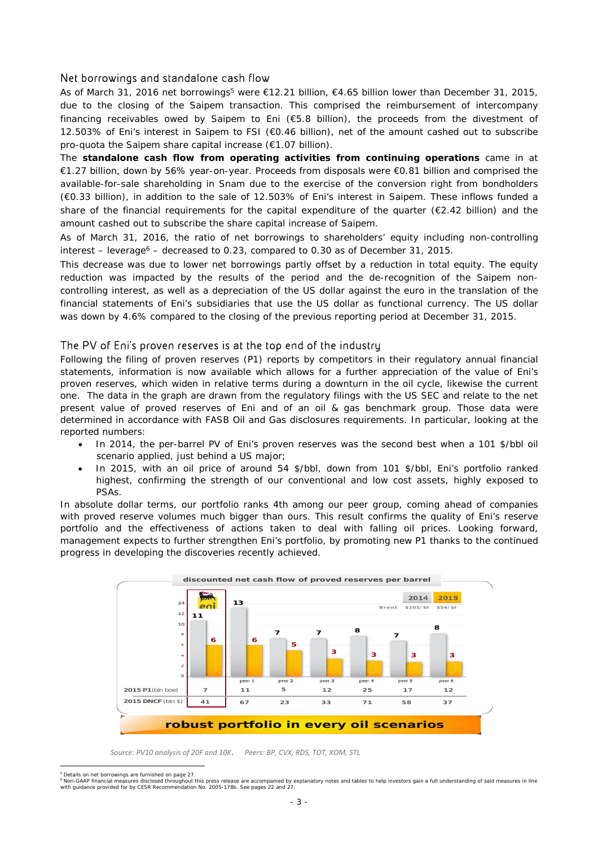### Net borrowings and standalone cash flow

As of March 31, 2016 net borrowings<sup>5</sup> were €12.21 billion, €4.65 billion lower than December 31, 2015, due to the closing of the Saipem transaction. This comprised the reimbursement of intercompany financing receivables owed by Saipem to Eni (€5.8 billion), the proceeds from the divestment of 12.503% of Eni's interest in Saipem to FSI (€0.46 billion), net of the amount cashed out to subscribe pro-quota the Saipem share capital increase (€1.07 billion).

The **standalone cash flow from operating activities from continuing operations** came in at €1.27 billion, down by 56% year-on-year. Proceeds from disposals were €0.81 billion and comprised the available-for-sale shareholding in Snam due to the exercise of the conversion right from bondholders (€0.33 billion), in addition to the sale of 12.503% of Eni's interest in Saipem. These inflows funded a share of the financial requirements for the capital expenditure of the quarter (€2.42 billion) and the amount cashed out to subscribe the share capital increase of Saipem.

As of March 31, 2016, the ratio of net borrowings to shareholders' equity including non-controlling  $interest - leverage<sup>6</sup> - decreased to 0.23, compared to 0.30 as of December 31, 2015.$ 

This decrease was due to lower net borrowings partly offset by a reduction in total equity. The equity reduction was impacted by the results of the period and the de-recognition of the Saipem noncontrolling interest, as well as a depreciation of the US dollar against the euro in the translation of the financial statements of Eni's subsidiaries that use the US dollar as functional currency. The US dollar was down by 4.6% compared to the closing of the previous reporting period at December 31, 2015.

### The PV of Eni's proven reserves is at the top end of the industry

Following the filing of proven reserves (P1) reports by competitors in their regulatory annual financial statements, information is now available which allows for a further appreciation of the value of Eni's proven reserves, which widen in relative terms during a downturn in the oil cycle, likewise the current one. The data in the graph are drawn from the regulatory filings with the US SEC and relate to the net present value of proved reserves of Eni and of an oil & gas benchmark group. Those data were determined in accordance with FASB Oil and Gas disclosures requirements. In particular, looking at the reported numbers:

- In 2014, the per-barrel PV of Eni's proven reserves was the second best when a 101 \$/bbl oil scenario applied, just behind a US major;
- In 2015, with an oil price of around 54 \$/bbl, down from 101 \$/bbl, Eni's portfolio ranked highest, confirming the strength of our conventional and low cost assets, highly exposed to PSAs.

In absolute dollar terms, our portfolio ranks 4th among our peer group, coming ahead of companies with proved reserve volumes much bigger than ours. This result confirms the quality of Eni's reserve portfolio and the effectiveness of actions taken to deal with falling oil prices. Looking forward, management expects to further strengthen Eni's portfolio, by promoting new P1 thanks to the continued progress in developing the discoveries recently achieved.



 *Source: PV10 analysis of 20F and 10K*. *Peers: BP, CVX, RDS, TOT, XOM, STL*

 $\overline{a}$ Details on net borrowings are furnished on page 27.

<sup>&</sup>lt;sup>6</sup> Non-GAAP financial measures disclosed throughout this press release are accompanied by explanatory notes and tables to help investors gain a full understanding of said measures in line<br>with guidance provided for by CES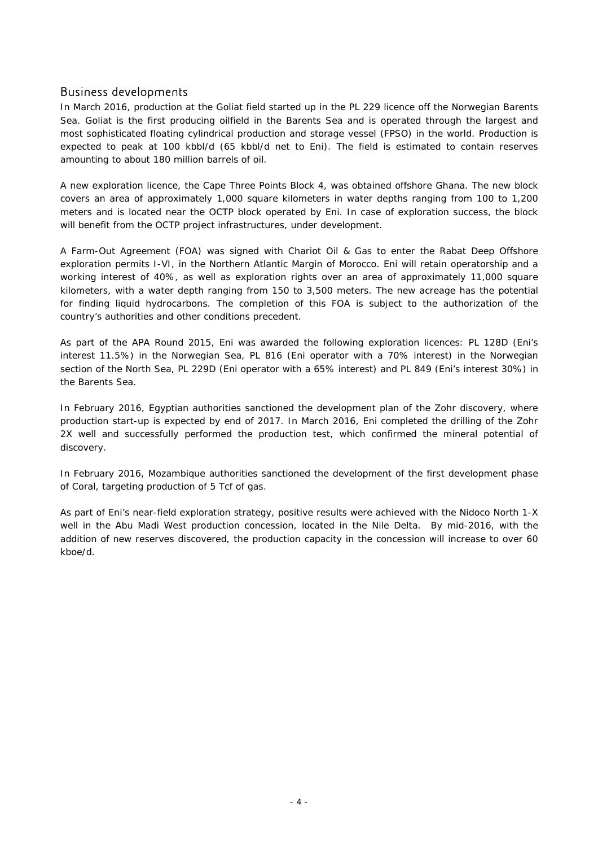### Business developments

In March 2016, production at the Goliat field started up in the PL 229 licence off the Norwegian Barents Sea. Goliat is the first producing oilfield in the Barents Sea and is operated through the largest and most sophisticated floating cylindrical production and storage vessel (FPSO) in the world. Production is expected to peak at 100 kbbl/d (65 kbbl/d net to Eni). The field is estimated to contain reserves amounting to about 180 million barrels of oil.

A new exploration licence, the Cape Three Points Block 4, was obtained offshore Ghana. The new block covers an area of approximately 1,000 square kilometers in water depths ranging from 100 to 1,200 meters and is located near the OCTP block operated by Eni. In case of exploration success, the block will benefit from the OCTP project infrastructures, under development.

A Farm-Out Agreement (FOA) was signed with Chariot Oil & Gas to enter the Rabat Deep Offshore exploration permits I-VI, in the Northern Atlantic Margin of Morocco. Eni will retain operatorship and a working interest of 40%, as well as exploration rights over an area of approximately 11,000 square kilometers, with a water depth ranging from 150 to 3,500 meters. The new acreage has the potential for finding liquid hydrocarbons. The completion of this FOA is subject to the authorization of the country's authorities and other conditions precedent.

As part of the APA Round 2015, Eni was awarded the following exploration licences: PL 128D (Eni's interest 11.5%) in the Norwegian Sea, PL 816 (Eni operator with a 70% interest) in the Norwegian section of the North Sea, PL 229D (Eni operator with a 65% interest) and PL 849 (Eni's interest 30%) in the Barents Sea.

In February 2016, Egyptian authorities sanctioned the development plan of the Zohr discovery, where production start-up is expected by end of 2017. In March 2016, Eni completed the drilling of the Zohr 2X well and successfully performed the production test, which confirmed the mineral potential of discovery.

In February 2016, Mozambique authorities sanctioned the development of the first development phase of Coral, targeting production of 5 Tcf of gas.

As part of Eni's near-field exploration strategy, positive results were achieved with the Nidoco North 1-X well in the Abu Madi West production concession, located in the Nile Delta. By mid-2016, with the addition of new reserves discovered, the production capacity in the concession will increase to over 60 kboe/d.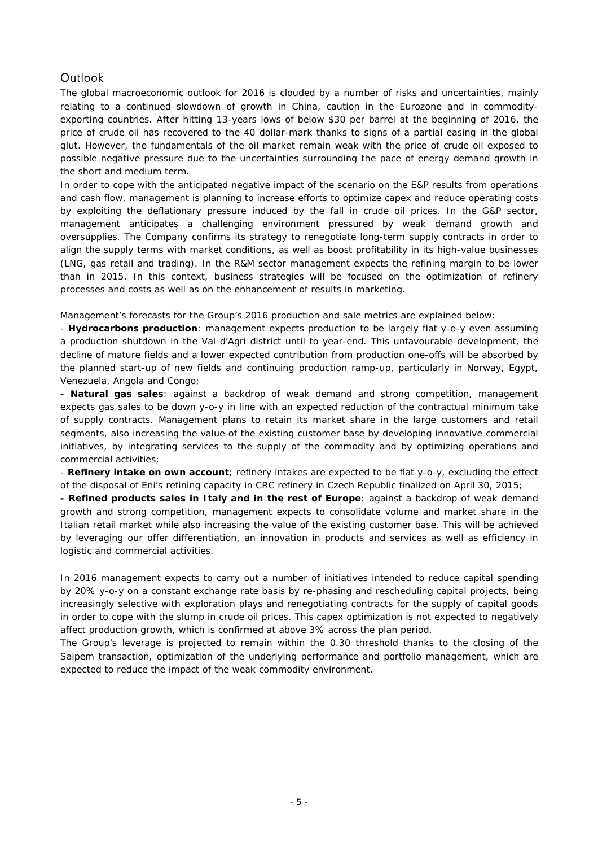### **Outlook**

The global macroeconomic outlook for 2016 is clouded by a number of risks and uncertainties, mainly relating to a continued slowdown of growth in China, caution in the Eurozone and in commodityexporting countries. After hitting 13-years lows of below \$30 per barrel at the beginning of 2016, the price of crude oil has recovered to the 40 dollar-mark thanks to signs of a partial easing in the global glut. However, the fundamentals of the oil market remain weak with the price of crude oil exposed to possible negative pressure due to the uncertainties surrounding the pace of energy demand growth in the short and medium term.

In order to cope with the anticipated negative impact of the scenario on the E&P results from operations and cash flow, management is planning to increase efforts to optimize capex and reduce operating costs by exploiting the deflationary pressure induced by the fall in crude oil prices. In the G&P sector, management anticipates a challenging environment pressured by weak demand growth and oversupplies. The Company confirms its strategy to renegotiate long-term supply contracts in order to align the supply terms with market conditions, as well as boost profitability in its high-value businesses (LNG, gas retail and trading). In the R&M sector management expects the refining margin to be lower than in 2015. In this context, business strategies will be focused on the optimization of refinery processes and costs as well as on the enhancement of results in marketing.

Management's forecasts for the Group's 2016 production and sale metrics are explained below:

- **Hydrocarbons production**: management expects production to be largely flat y-o-y even assuming a production shutdown in the Val d'Agri district until to year-end. This unfavourable development, the decline of mature fields and a lower expected contribution from production one-offs will be absorbed by the planned start-up of new fields and continuing production ramp-up, particularly in Norway, Egypt, Venezuela, Angola and Congo;

**- Natural gas sales**: against a backdrop of weak demand and strong competition, management expects gas sales to be down y-o-y in line with an expected reduction of the contractual minimum take of supply contracts. Management plans to retain its market share in the large customers and retail segments, also increasing the value of the existing customer base by developing innovative commercial initiatives, by integrating services to the supply of the commodity and by optimizing operations and commercial activities;

- **Refinery intake on own account**; refinery intakes are expected to be flat y-o-y, excluding the effect of the disposal of Eni's refining capacity in CRC refinery in Czech Republic finalized on April 30, 2015;

**- Refined products sales in Italy and in the rest of Europe**: against a backdrop of weak demand growth and strong competition, management expects to consolidate volume and market share in the Italian retail market while also increasing the value of the existing customer base. This will be achieved by leveraging our offer differentiation, an innovation in products and services as well as efficiency in logistic and commercial activities.

In 2016 management expects to carry out a number of initiatives intended to reduce capital spending by 20% y-o-y on a constant exchange rate basis by re-phasing and rescheduling capital projects, being increasingly selective with exploration plays and renegotiating contracts for the supply of capital goods in order to cope with the slump in crude oil prices. This capex optimization is not expected to negatively affect production growth, which is confirmed at above 3% across the plan period.

The Group's leverage is projected to remain within the 0.30 threshold thanks to the closing of the Saipem transaction, optimization of the underlying performance and portfolio management, which are expected to reduce the impact of the weak commodity environment.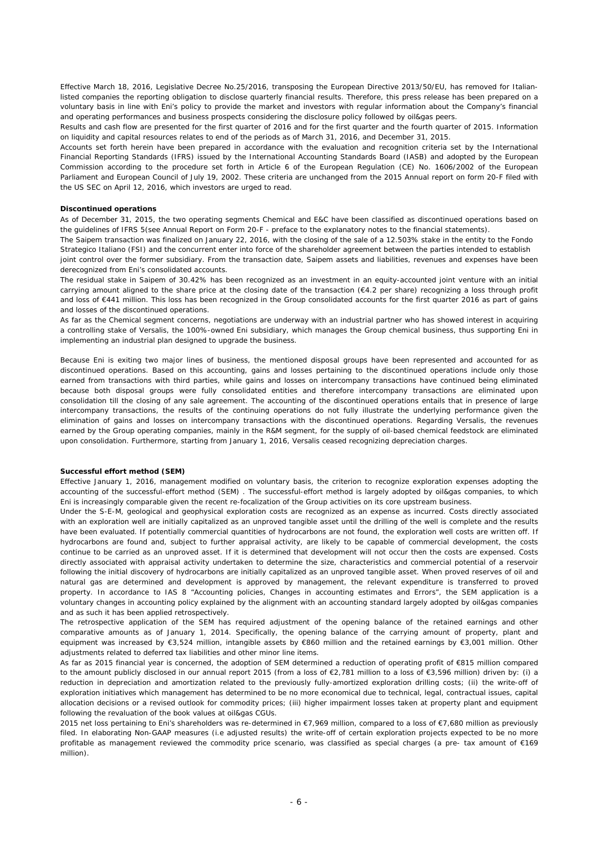Effective March 18, 2016, Legislative Decree No.25/2016, transposing the European Directive 2013/50/EU, has removed for Italianlisted companies the reporting obligation to disclose quarterly financial results. Therefore, this press release has been prepared on a voluntary basis in line with Eni's policy to provide the market and investors with regular information about the Company's financial and operating performances and business prospects considering the disclosure policy followed by oil&gas peers.

Results and cash flow are presented for the first quarter of 2016 and for the first quarter and the fourth quarter of 2015. Information on liquidity and capital resources relates to end of the periods as of March 31, 2016, and December 31, 2015.

Accounts set forth herein have been prepared in accordance with the evaluation and recognition criteria set by the International Financial Reporting Standards (IFRS) issued by the International Accounting Standards Board (IASB) and adopted by the European Commission according to the procedure set forth in Article 6 of the European Regulation (CE) No. 1606/2002 of the European Parliament and European Council of July 19, 2002. These criteria are unchanged from the 2015 Annual report on form 20-F filed with the US SEC on April 12, 2016, which investors are urged to read.

#### **Discontinued operations**

As of December 31, 2015, the two operating segments Chemical and E&C have been classified as discontinued operations based on the guidelines of IFRS 5(see Annual Report on Form 20-F - preface to the explanatory notes to the financial statements).

The Saipem transaction was finalized on January 22, 2016, with the closing of the sale of a 12.503% stake in the entity to the Fondo Strategico Italiano (FSI) and the concurrent enter into force of the shareholder agreement between the parties intended to establish joint control over the former subsidiary. From the transaction date, Saipem assets and liabilities, revenues and expenses have been

derecognized from Eni's consolidated accounts. The residual stake in Saipem of 30.42% has been recognized as an investment in an equity-accounted joint venture with an initial carrying amount aligned to the share price at the closing date of the transaction (€4.2 per share) recognizing a loss through profit and loss of €441 million. This loss has been recognized in the Group consolidated accounts for the first quarter 2016 as part of gains and losses of the discontinued operations.

As far as the Chemical segment concerns, negotiations are underway with an industrial partner who has showed interest in acquiring a controlling stake of Versalis, the 100%-owned Eni subsidiary, which manages the Group chemical business, thus supporting Eni in implementing an industrial plan designed to upgrade the business.

Because Eni is exiting two major lines of business, the mentioned disposal groups have been represented and accounted for as discontinued operations. Based on this accounting, gains and losses pertaining to the discontinued operations include only those earned from transactions with third parties, while gains and losses on intercompany transactions have continued being eliminated because both disposal groups were fully consolidated entities and therefore intercompany transactions are eliminated upon consolidation till the closing of any sale agreement. The accounting of the discontinued operations entails that in presence of large intercompany transactions, the results of the continuing operations do not fully illustrate the underlying performance given the elimination of gains and losses on intercompany transactions with the discontinued operations. Regarding Versalis, the revenues earned by the Group operating companies, mainly in the R&M segment, for the supply of oil-based chemical feedstock are eliminated upon consolidation. Furthermore, starting from January 1, 2016, Versalis ceased recognizing depreciation charges.

#### **Successful effort method (SEM)**

Effective January 1, 2016, management modified on voluntary basis, the criterion to recognize exploration expenses adopting the accounting of the successful-effort method (SEM) . The successful-effort method is largely adopted by oil&gas companies, to which Eni is increasingly comparable given the recent re-focalization of the Group activities on its core upstream business.

Under the S-E-M, geological and geophysical exploration costs are recognized as an expense as incurred. Costs directly associated with an exploration well are initially capitalized as an unproved tangible asset until the drilling of the well is complete and the results have been evaluated. If potentially commercial quantities of hydrocarbons are not found, the exploration well costs are written off. If hydrocarbons are found and, subject to further appraisal activity, are likely to be capable of commercial development, the costs continue to be carried as an unproved asset. If it is determined that development will not occur then the costs are expensed. Costs directly associated with appraisal activity undertaken to determine the size, characteristics and commercial potential of a reservoir following the initial discovery of hydrocarbons are initially capitalized as an unproved tangible asset. When proved reserves of oil and natural gas are determined and development is approved by management, the relevant expenditure is transferred to proved property. In accordance to IAS 8 "Accounting policies, Changes in accounting estimates and Errors", the SEM application is a voluntary changes in accounting policy explained by the alignment with an accounting standard largely adopted by oil&gas companies and as such it has been applied retrospectively.

The retrospective application of the SEM has required adjustment of the opening balance of the retained earnings and other comparative amounts as of January 1, 2014. Specifically, the opening balance of the carrying amount of property, plant and equipment was increased by €3,524 million, intangible assets by €860 million and the retained earnings by €3,001 million. Other adjustments related to deferred tax liabilities and other minor line items.

As far as 2015 financial year is concerned, the adoption of SEM determined a reduction of operating profit of €815 million compared to the amount publicly disclosed in our annual report 2015 (from a loss of €2,781 million to a loss of €3,596 million) driven by: (i) a reduction in depreciation and amortization related to the previously fully-amortized exploration drilling costs; (ii) the write-off of exploration initiatives which management has determined to be no more economical due to technical, legal, contractual issues, capital allocation decisions or a revised outlook for commodity prices; (iii) higher impairment losses taken at property plant and equipment following the revaluation of the book values at oil&gas CGUs.

2015 net loss pertaining to Eni's shareholders was re-determined in €7,969 million, compared to a loss of €7,680 million as previously filed. In elaborating Non-GAAP measures (i.e adjusted results) the write-off of certain exploration projects expected to be no more profitable as management reviewed the commodity price scenario, was classified as special charges (a pre- tax amount of €169 million).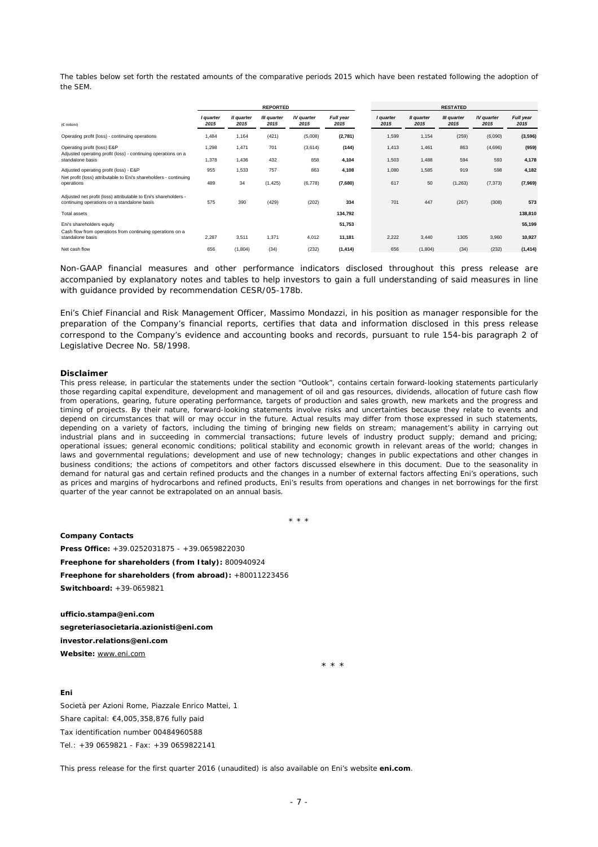The tables below set forth the restated amounts of the comparative periods 2015 which have been restated following the adoption of the SEM.

|                                                                                                                  | <b>REPORTED</b>   |                    |                     |                           |                   | <b>RESTATED</b>   |                    |                     |                    |                   |  |
|------------------------------------------------------------------------------------------------------------------|-------------------|--------------------|---------------------|---------------------------|-------------------|-------------------|--------------------|---------------------|--------------------|-------------------|--|
| (€ milioni)                                                                                                      | I quarter<br>2015 | Il quarter<br>2015 | III quarter<br>2015 | <b>IV</b> quarter<br>2015 | Full year<br>2015 | I quarter<br>2015 | Il quarter<br>2015 | III quarter<br>2015 | IV quarter<br>2015 | Full year<br>2015 |  |
| Operating profit (loss) - continuing operations                                                                  | 1,484             | 1,164              | (421)               | (5,008)                   | (2,781)           | 1,599             | 1,154              | (259)               | (6,090)            | (3,596)           |  |
| Operating profit (loss) E&P<br>Adjusted operating profit (loss) - continuing operations on a<br>standalone basis | 1,298<br>1,378    | 1,471<br>1,436     | 701<br>432          | (3,614)<br>858            | (144)<br>4,104    | 1,413<br>1,503    | 1,461<br>1,488     | 863<br>594          | (4,696)<br>593     | (959)<br>4,178    |  |
| Adjusted operating profit (loss) - E&P<br>Net profit (loss) attributable to Eni's shareholders - continuing      | 955               | 1,533              | 757                 | 863                       | 4,108             | 1,080             | 1,585              | 919                 | 598                | 4,182             |  |
| operations                                                                                                       | 489               | 34                 | (1, 425)            | (6,778)                   | (7,680)           | 617               | 50                 | (1, 263)            | (7, 373)           | (7,969)           |  |
| Adjusted net profit (loss) attributable to Eni's shareholders -<br>continuing operations on a standalone basis   | 575               | 390                | (429)               | (202)                     | 334               | 701               | 447                | (267)               | (308)              | 573               |  |
| Total assets                                                                                                     |                   |                    |                     |                           | 134,792           |                   |                    |                     |                    | 138,810           |  |
| Eni's shareholders equity                                                                                        |                   |                    |                     |                           | 51,753            |                   |                    |                     |                    | 55,199            |  |
| Cash flow from operations from continuing operations on a<br>standalone basis                                    | 2,287             | 3,511              | 1,371               | 4,012                     | 11,181            | 2,222             | 3.440              | 1305                | 3,960              | 10,927            |  |
| Net cash flow                                                                                                    | 656               | (1,804)            | (34)                | (232)                     | (1, 414)          | 656               | (1,804)            | (34)                | (232)              | (1, 414)          |  |

Non-GAAP financial measures and other performance indicators disclosed throughout this press release are accompanied by explanatory notes and tables to help investors to gain a full understanding of said measures in line with guidance provided by recommendation CESR/05-178b.

*Eni's Chief Financial and Risk Management Officer, Massimo Mondazzi, in his position as manager responsible for the preparation of the Company's financial reports, certifies that data and information disclosed in this press release correspond to the Company's evidence and accounting books and records, pursuant to rule 154-bis paragraph 2 of Legislative Decree No. 58/1998.* 

#### **Disclaimer**

*This press release, in particular the statements under the section "Outlook", contains certain forward-looking statements particularly those regarding capital expenditure, development and management of oil and gas resources, dividends, allocation of future cash flow from operations, gearing, future operating performance, targets of production and sales growth, new markets and the progress and timing of projects. By their nature, forward-looking statements involve risks and uncertainties because they relate to events and depend on circumstances that will or may occur in the future. Actual results may differ from those expressed in such statements, depending on a variety of factors, including the timing of bringing new fields on stream; management's ability in carrying out industrial plans and in succeeding in commercial transactions; future levels of industry product supply; demand and pricing; operational issues; general economic conditions; political stability and economic growth in relevant areas of the world; changes in laws and governmental regulations; development and use of new technology; changes in public expectations and other changes in business conditions; the actions of competitors and other factors discussed elsewhere in this document. Due to the seasonality in demand for natural gas and certain refined products and the changes in a number of external factors affecting Eni's operations, such as prices and margins of hydrocarbons and refined products, Eni's results from operations and changes in net borrowings for the first quarter of the year cannot be extrapolated on an annual basis.* 

\* \* \*

**Company Contacts Press Office:** +39.0252031875 - +39.0659822030 **Freephone for shareholders (from Italy):** 800940924 **Freephone for shareholders (from abroad):** +80011223456 **Switchboard:** +39-0659821

 $\star$  \* \* \*

**ufficio.stampa@eni.com segreteriasocietaria.azionisti@eni.com investor.relations@eni.com Website:** www.eni.com

#### **Eni**

Società per Azioni Rome, Piazzale Enrico Mattei, 1 Share capital: €4,005,358,876 fully paid Tax identification number 00484960588  $Tel + 39 0659821 - Fax + 39 0659822141$ 

This press release for the first quarter 2016 (unaudited) is also available on Eni's website **eni.com**.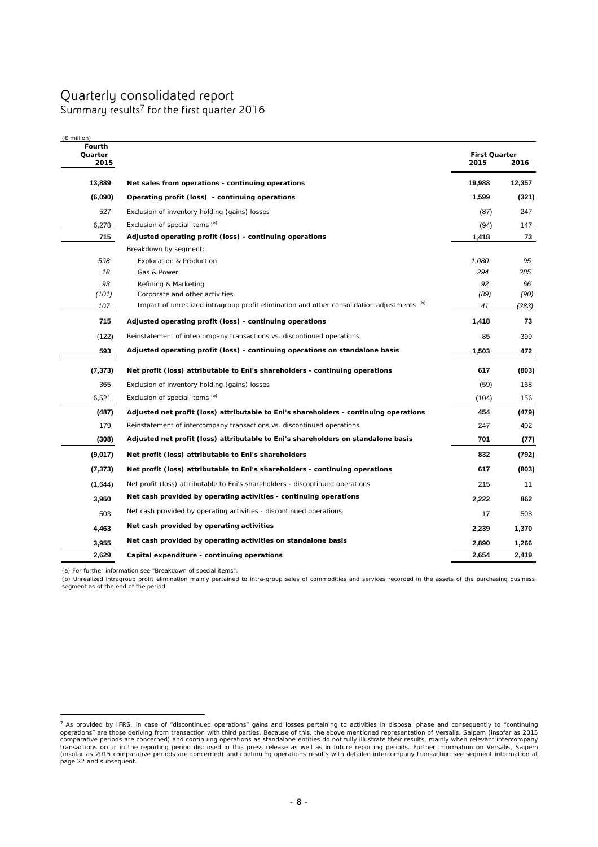## Quarterly consolidated report

Summary results<sup>7</sup> for the first quarter 2016

| $(\epsilon$ million)<br>Fourth<br>Quarter<br>2015 |                                                                                            | <b>First Quarter</b><br>2015 | 2016   |
|---------------------------------------------------|--------------------------------------------------------------------------------------------|------------------------------|--------|
| 13,889                                            | Net sales from operations - continuing operations                                          | 19,988                       | 12,357 |
| (6,090)                                           | Operating profit (loss) - continuing operations                                            | 1,599                        | (321)  |
| 527                                               | Exclusion of inventory holding (gains) losses                                              | (87)                         | 247    |
| 6,278                                             | Exclusion of special items (a)                                                             | (94)                         | 147    |
| 715                                               | Adjusted operating profit (loss) - continuing operations                                   | 1,418                        | 73     |
|                                                   | Breakdown by segment:                                                                      |                              |        |
| 598                                               | <b>Exploration &amp; Production</b>                                                        | 1,080                        | 95     |
| 18                                                | Gas & Power                                                                                | 294                          | 285    |
| 93                                                | Refining & Marketing                                                                       | 92                           | 66     |
| (101)                                             | Corporate and other activities                                                             | (89)                         | (90)   |
| 107                                               | Impact of unrealized intragroup profit elimination and other consolidation adjustments (b) | 41                           | (283)  |
| 715                                               | Adjusted operating profit (loss) - continuing operations                                   | 1,418                        | 73     |
| (122)                                             | Reinstatement of intercompany transactions vs. discontinued operations                     | 85                           | 399    |
| 593                                               | Adjusted operating profit (loss) - continuing operations on standalone basis               | 1,503                        | 472    |
| (7,373)                                           | Net profit (loss) attributable to Eni's shareholders - continuing operations               | 617                          | (803)  |
| 365                                               | Exclusion of inventory holding (gains) losses                                              | (59)                         | 168    |
| 6,521                                             | Exclusion of special items (a)                                                             | (104)                        | 156    |
| (487)                                             | Adjusted net profit (loss) attributable to Eni's shareholders - continuing operations      | 454                          | (479)  |
| 179                                               | Reinstatement of intercompany transactions vs. discontinued operations                     | 247                          | 402    |
| (308)                                             | Adjusted net profit (loss) attributable to Eni's shareholders on standalone basis          | 701                          | (77)   |
| (9,017)                                           | Net profit (loss) attributable to Eni's shareholders                                       | 832                          | (792)  |
| (7, 373)                                          | Net profit (loss) attributable to Eni's shareholders - continuing operations               | 617                          | (803)  |
| (1,644)                                           | Net profit (loss) attributable to Eni's shareholders - discontinued operations             | 215                          | 11     |
| 3,960                                             | Net cash provided by operating activities - continuing operations                          | 2,222                        | 862    |
| 503                                               | Net cash provided by operating activities - discontinued operations                        | 17                           | 508    |
| 4,463                                             | Net cash provided by operating activities                                                  | 2,239                        | 1,370  |
| 3,955                                             | Net cash provided by operating activities on standalone basis                              | 2,890                        | 1,266  |
| 2,629                                             | Capital expenditure - continuing operations                                                | 2,654                        | 2,419  |

(a) For further information see "Breakdown of special items".

 $\overline{a}$ 

(b) Unrealized intragroup profit elimination mainly pertained to intra-group sales of commodities and services recorded in the assets of the purchasing business segment as of the end of the period.

 $^7$  As provided by IFRS, in case of "discontinued operations" gains and losses pertaining to activities in disposal phase and consequently to "continuing operations" are those deriving from transaction with third parties page 22 and subsequent.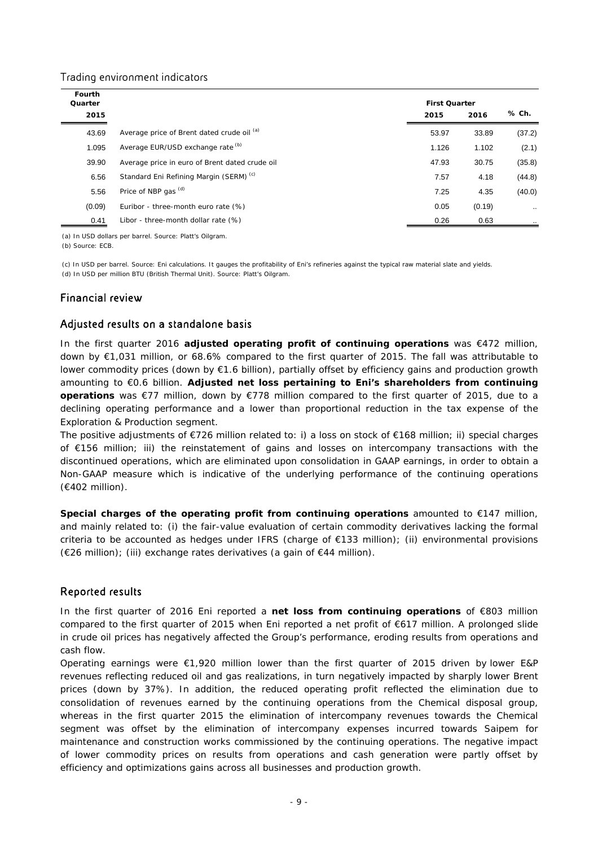### Trading environment indicators

| Fourth<br>Quarter |                                                    | <b>First Quarter</b> |        |           |
|-------------------|----------------------------------------------------|----------------------|--------|-----------|
| 2015              |                                                    | 2015                 | 2016   | % Ch.     |
| 43.69             | Average price of Brent dated crude oil (a)         | 53.97                | 33.89  | (37.2)    |
| 1.095             | Average EUR/USD exchange rate (b)                  | 1.126                | 1.102  | (2.1)     |
| 39.90             | Average price in euro of Brent dated crude oil     | 47.93                | 30.75  | (35.8)    |
| 6.56              | Standard Eni Refining Margin (SERM) <sup>(c)</sup> | 7.57                 | 4.18   | (44.8)    |
| 5.56              | Price of NBP gas (d)                               | 7.25                 | 4.35   | (40.0)    |
| (0.09)            | Euribor - three-month euro rate (%)                | 0.05                 | (0.19) | $\ddotsc$ |
| 0.41              | Libor - three-month dollar rate (%)                | 0.26                 | 0.63   |           |

(a) In USD dollars per barrel. Source: Platt's Oilgram. (b) Source: ECB.

(d) In USD per million BTU (British Thermal Unit). Source: Platt's Oilgram. (c) In USD per barrel. Source: Eni calculations. It gauges the profitability of Eni's refineries against the typical raw material slate and yields.

### Financial review

### Adjusted results on a standalone basis

In the first quarter 2016 **adjusted operating profit of continuing operations** was €472 million, down by €1,031 million, or 68.6% compared to the first quarter of 2015. The fall was attributable to lower commodity prices (down by €1.6 billion), partially offset by efficiency gains and production growth amounting to €0.6 billion. **Adjusted net loss pertaining to Eni's shareholders from continuing operations** was €77 million, down by €778 million compared to the first quarter of 2015, due to a declining operating performance and a lower than proportional reduction in the tax expense of the Exploration & Production segment.

The positive adjustments of €726 million related to: i) a loss on stock of €168 million; ii) special charges of €156 million; iii) the reinstatement of gains and losses on intercompany transactions with the discontinued operations, which are eliminated upon consolidation in GAAP earnings, in order to obtain a Non-GAAP measure which is indicative of the underlying performance of the continuing operations (€402 million).

**Special charges of the operating profit from continuing operations** amounted to €147 million, and mainly related to: (i) the fair-value evaluation of certain commodity derivatives lacking the formal criteria to be accounted as hedges under IFRS (charge of €133 million); (ii) environmental provisions (€26 million); (iii) exchange rates derivatives (a gain of €44 million).

### Reported results

In the first quarter of 2016 Eni reported a **net loss from continuing operations** of €803 million compared to the first quarter of 2015 when Eni reported a net profit of €617 million. A prolonged slide in crude oil prices has negatively affected the Group's performance, eroding results from operations and cash flow.

Operating earnings were €1,920 million lower than the first quarter of 2015 driven by lower E&P revenues reflecting reduced oil and gas realizations, in turn negatively impacted by sharply lower Brent prices (down by 37%). In addition, the reduced operating profit reflected the elimination due to consolidation of revenues earned by the continuing operations from the Chemical disposal group, whereas in the first quarter 2015 the elimination of intercompany revenues towards the Chemical segment was offset by the elimination of intercompany expenses incurred towards Saipem for maintenance and construction works commissioned by the continuing operations. The negative impact of lower commodity prices on results from operations and cash generation were partly offset by efficiency and optimizations gains across all businesses and production growth.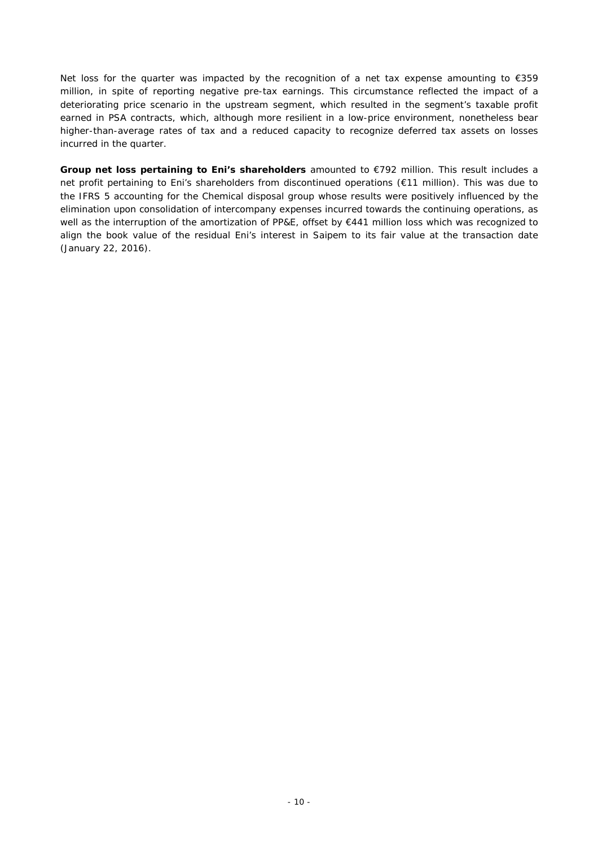Net loss for the quarter was impacted by the recognition of a net tax expense amounting to  $\epsilon$ 359 million, in spite of reporting negative pre-tax earnings. This circumstance reflected the impact of a deteriorating price scenario in the upstream segment, which resulted in the segment's taxable profit earned in PSA contracts, which, although more resilient in a low-price environment, nonetheless bear higher-than-average rates of tax and a reduced capacity to recognize deferred tax assets on losses incurred in the quarter.

**Group net loss pertaining to Eni's shareholders** amounted to €792 million. This result includes a net profit pertaining to Eni's shareholders from discontinued operations (€11 million). This was due to the IFRS 5 accounting for the Chemical disposal group whose results were positively influenced by the elimination upon consolidation of intercompany expenses incurred towards the continuing operations, as well as the interruption of the amortization of PP&E, offset by €441 million loss which was recognized to align the book value of the residual Eni's interest in Saipem to its fair value at the transaction date (January 22, 2016).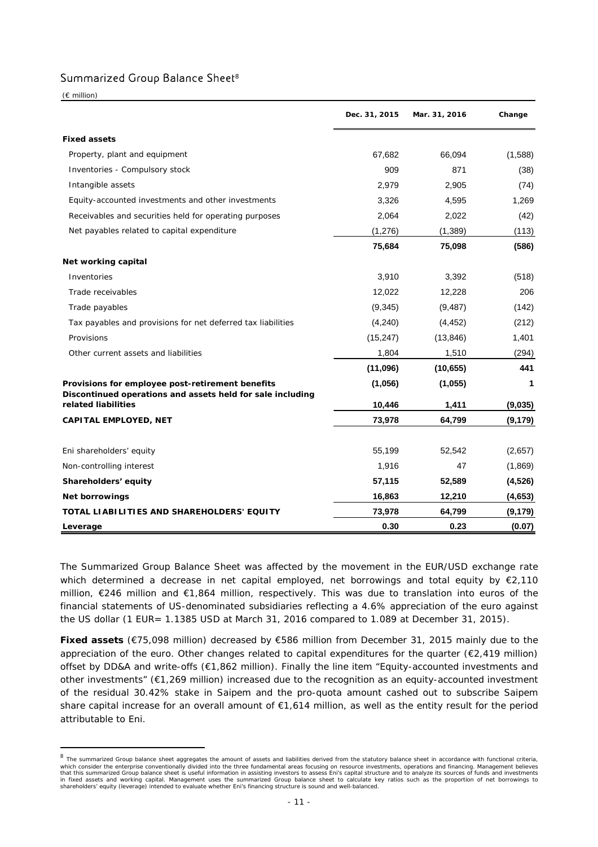### Summarized Group Balance Sheet<sup>8</sup>

(€ million)

 $\overline{a}$ 

|                                                              | Dec. 31, 2015 | Mar. 31, 2016 | Change   |
|--------------------------------------------------------------|---------------|---------------|----------|
| <b>Fixed assets</b>                                          |               |               |          |
| Property, plant and equipment                                | 67,682        | 66,094        | (1,588)  |
| Inventories - Compulsory stock                               | 909           | 871           | (38)     |
| Intangible assets                                            | 2,979         | 2,905         | (74)     |
| Equity-accounted investments and other investments           | 3,326         | 4,595         | 1,269    |
| Receivables and securities held for operating purposes       | 2,064         | 2,022         | (42)     |
| Net payables related to capital expenditure                  | (1,276)       | (1, 389)      | (113)    |
|                                                              | 75,684        | 75,098        | (586)    |
| Net working capital                                          |               |               |          |
| Inventories                                                  | 3,910         | 3,392         | (518)    |
| Trade receivables                                            | 12,022        | 12,228        | 206      |
| Trade payables                                               | (9,345)       | (9, 487)      | (142)    |
| Tax payables and provisions for net deferred tax liabilities | (4,240)       | (4, 452)      | (212)    |
| Provisions                                                   | (15, 247)     | (13, 846)     | 1,401    |
| Other current assets and liabilities                         | 1,804         | 1,510         | (294)    |
|                                                              | (11,096)      | (10, 655)     | 441      |
| Provisions for employee post-retirement benefits             | (1,056)       | (1,055)       | 1        |
| Discontinued operations and assets held for sale including   |               |               |          |
| related liabilities                                          | 10,446        | 1,411         | (9,035)  |
| <b>CAPITAL EMPLOYED, NET</b>                                 | 73,978        | 64,799        | (9, 179) |
| Eni shareholders' equity                                     | 55,199        | 52,542        | (2,657)  |
| Non-controlling interest                                     | 1,916         | 47            | (1,869)  |
| Shareholders' equity                                         | 57,115        | 52,589        | (4,526)  |
| <b>Net borrowings</b>                                        | 16,863        | 12,210        | (4,653)  |
| TOTAL LIABILITIES AND SHAREHOLDERS' EQUITY                   | 73,978        | 64,799        | (9, 179) |
| Leverage                                                     | 0.30          | 0.23          | (0.07)   |

The Summarized Group Balance Sheet was affected by the movement in the EUR/USD exchange rate which determined a decrease in net capital employed, net borrowings and total equity by  $\epsilon$ 2,110 million, €246 million and €1,864 million, respectively. This was due to translation into euros of the financial statements of US-denominated subsidiaries reflecting a 4.6% appreciation of the euro against the US dollar (1 EUR= 1.1385 USD at March 31, 2016 compared to 1.089 at December 31, 2015).

**Fixed assets** (€75,098 million) decreased by €586 million from December 31, 2015 mainly due to the appreciation of the euro. Other changes related to capital expenditures for the quarter (€2,419 million) offset by DD&A and write-offs (€1,862 million). Finally the line item "Equity-accounted investments and other investments" (€1,269 million) increased due to the recognition as an equity-accounted investment of the residual 30.42% stake in Saipem and the pro-quota amount cashed out to subscribe Saipem share capital increase for an overall amount of €1,614 million, as well as the entity result for the period attributable to Eni.

<sup>&</sup>lt;sup>8</sup> The summarized Group balance sheet aggregates the amount of assets and liabilities derived from the statutory balance sheet in accordance with functional criteria, which consider the enterprise conventionally divided into the three fundamental areas focusing on resource investments, operations and financing. Management believes<br>that this summarized Group balance sheet is useful infor in fixed assets and working capital. Management uses the summarized Group balance sheet to calculate key ratios such as the proportion of net borrowings to shareholders' equity (leverage) intended to evaluate whether Eni's financing structure is sound and well-balanced.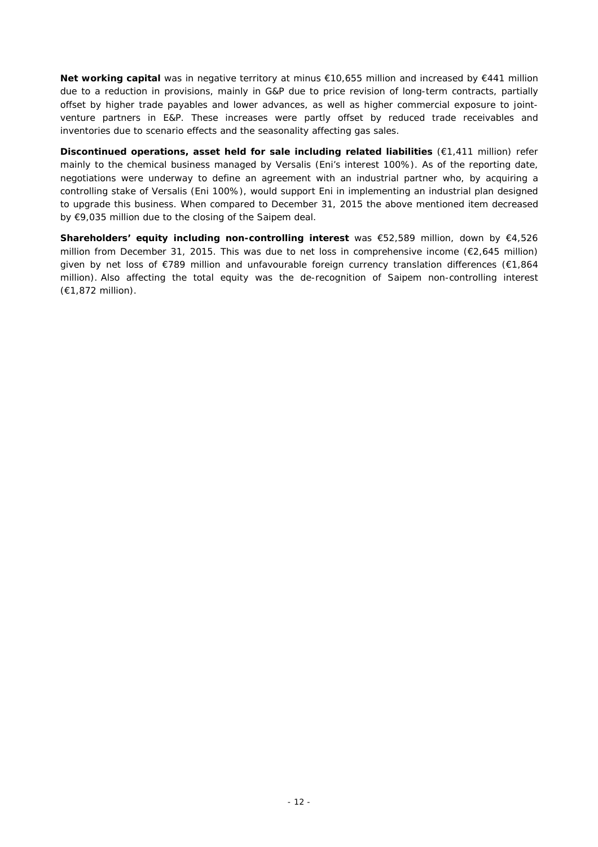**Net working capital** was in negative territory at minus €10,655 million and increased by €441 million due to a reduction in provisions, mainly in G&P due to price revision of long-term contracts, partially offset by higher trade payables and lower advances, as well as higher commercial exposure to jointventure partners in E&P. These increases were partly offset by reduced trade receivables and inventories due to scenario effects and the seasonality affecting gas sales.

**Discontinued operations, asset held for sale including related liabilities** (€1,411 million) refer mainly to the chemical business managed by Versalis (Eni's interest 100%). As of the reporting date, negotiations were underway to define an agreement with an industrial partner who, by acquiring a controlling stake of Versalis (Eni 100%), would support Eni in implementing an industrial plan designed to upgrade this business. When compared to December 31, 2015 the above mentioned item decreased by €9,035 million due to the closing of the Saipem deal.

**Shareholders' equity including non-controlling interest** was €52,589 million, down by €4,526 million from December 31, 2015. This was due to net loss in comprehensive income (€2,645 million) given by net loss of €789 million and unfavourable foreign currency translation differences (€1,864 million). Also affecting the total equity was the de-recognition of Saipem non-controlling interest (€1,872 million).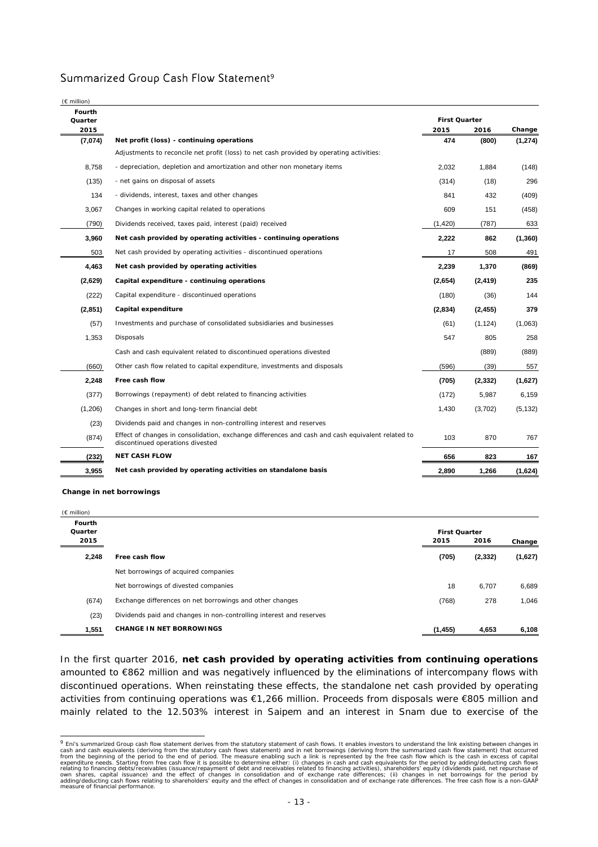### Summarized Group Cash Flow Statement<sup>9</sup>

| $(E \text{ million})$ |                                                                                                                                      |                      |          |          |
|-----------------------|--------------------------------------------------------------------------------------------------------------------------------------|----------------------|----------|----------|
| Fourth<br>Quarter     |                                                                                                                                      | <b>First Quarter</b> |          |          |
| 2015                  |                                                                                                                                      | 2015                 | 2016     | Change   |
| (7,074)               | Net profit (loss) - continuing operations                                                                                            | 474                  | (800)    | (1, 274) |
|                       | Adjustments to reconcile net profit (loss) to net cash provided by operating activities:                                             |                      |          |          |
| 8,758                 | - depreciation, depletion and amortization and other non monetary items                                                              | 2,032                | 1,884    | (148)    |
| (135)                 | - net gains on disposal of assets                                                                                                    | (314)                | (18)     | 296      |
| 134                   | - dividends, interest, taxes and other changes                                                                                       | 841                  | 432      | (409)    |
| 3,067                 | Changes in working capital related to operations                                                                                     | 609                  | 151      | (458)    |
| (790)                 | Dividends received, taxes paid, interest (paid) received                                                                             | (1,420)              | (787)    | 633      |
| 3,960                 | Net cash provided by operating activities - continuing operations                                                                    | 2,222                | 862      | (1, 360) |
| 503                   | Net cash provided by operating activities - discontinued operations                                                                  | 17                   | 508      | 491      |
| 4,463                 | Net cash provided by operating activities                                                                                            | 2,239                | 1,370    | (869)    |
| (2,629)               | Capital expenditure - continuing operations                                                                                          | (2,654)              | (2, 419) | 235      |
| (222)                 | Capital expenditure - discontinued operations                                                                                        | (180)                | (36)     | 144      |
| (2,851)               | Capital expenditure                                                                                                                  | (2,834)              | (2, 455) | 379      |
| (57)                  | Investments and purchase of consolidated subsidiaries and businesses                                                                 | (61)                 | (1, 124) | (1,063)  |
| 1,353                 | Disposals                                                                                                                            | 547                  | 805      | 258      |
|                       | Cash and cash equivalent related to discontinued operations divested                                                                 |                      | (889)    | (889)    |
| (660)                 | Other cash flow related to capital expenditure, investments and disposals                                                            | (596)                | (39)     | 557      |
| 2,248                 | Free cash flow                                                                                                                       | (705)                | (2, 332) | (1,627)  |
| (377)                 | Borrowings (repayment) of debt related to financing activities                                                                       | (172)                | 5,987    | 6,159    |
| (1,206)               | Changes in short and long-term financial debt                                                                                        | 1,430                | (3,702)  | (5, 132) |
| (23)                  | Dividends paid and changes in non-controlling interest and reserves                                                                  |                      |          |          |
| (874)                 | Effect of changes in consolidation, exchange differences and cash and cash equivalent related to<br>discontinued operations divested | 103                  | 870      | 767      |
| (232)                 | <b>NET CASH FLOW</b>                                                                                                                 | 656                  | 823      | 167      |
| 3,955                 | Net cash provided by operating activities on standalone basis                                                                        | 2,890                | 1,266    | (1,624)  |

**Change in net borrowings**

(€ million)

| Fourth<br>Quarter |                                                                     | <b>First Quarter</b> |          |         |
|-------------------|---------------------------------------------------------------------|----------------------|----------|---------|
| 2015              |                                                                     | 2015                 | 2016     | Change  |
| 2,248             | Free cash flow                                                      | (705)                | (2, 332) | (1,627) |
|                   | Net borrowings of acquired companies                                |                      |          |         |
|                   | Net borrowings of divested companies                                | 18                   | 6,707    | 6,689   |
| (674)             | Exchange differences on net borrowings and other changes            | (768)                | 278      | 1,046   |
| (23)              | Dividends paid and changes in non-controlling interest and reserves |                      |          |         |
| 1,551             | <b>CHANGE IN NET BORROWINGS</b>                                     | (1, 455)             | 4,653    | 6,108   |

In the first quarter 2016, **net cash provided by operating activities from continuing operations** amounted to €862 million and was negatively influenced by the eliminations of intercompany flows with discontinued operations. When reinstating these effects, the standalone net cash provided by operating activities from continuing operations was €1,266 million. Proceeds from disposals were €805 million and mainly related to the 12.503% interest in Saipem and an interest in Snam due to exercise of the

<sup>&</sup>lt;sup>9</sup> Eni's summarized Group cash flow statement derives from the statutory statement of cash flows. It enables investors to understand the link existing between changes in<br>Cash and cash equivalents (deriving from the statut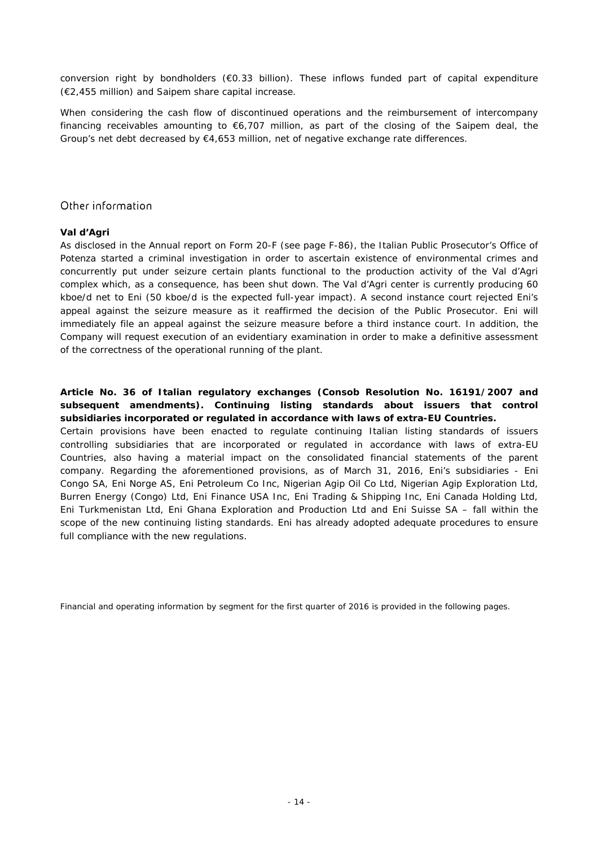conversion right by bondholders (€0.33 billion). These inflows funded part of capital expenditure (€2,455 million) and Saipem share capital increase.

When considering the cash flow of discontinued operations and the reimbursement of intercompany financing receivables amounting to €6,707 million, as part of the closing of the Saipem deal, the Group's net debt decreased by €4,653 million, net of negative exchange rate differences.

### Other information

### *Val d'Agri*

As disclosed in the Annual report on Form 20-F (see page F-86), the Italian Public Prosecutor's Office of Potenza started a criminal investigation in order to ascertain existence of environmental crimes and concurrently put under seizure certain plants functional to the production activity of the Val d'Agri complex which, as a consequence, has been shut down. The Val d'Agri center is currently producing 60 kboe/d net to Eni (50 kboe/d is the expected full-year impact). A second instance court rejected Eni's appeal against the seizure measure as it reaffirmed the decision of the Public Prosecutor. Eni will immediately file an appeal against the seizure measure before a third instance court. In addition, the Company will request execution of an evidentiary examination in order to make a definitive assessment of the correctness of the operational running of the plant.

### *Article No. 36 of Italian regulatory exchanges (Consob Resolution No. 16191/2007 and subsequent amendments). Continuing listing standards about issuers that control subsidiaries incorporated or regulated in accordance with laws of extra-EU Countries.*

Certain provisions have been enacted to regulate continuing Italian listing standards of issuers controlling subsidiaries that are incorporated or regulated in accordance with laws of extra-EU Countries, also having a material impact on the consolidated financial statements of the parent company. Regarding the aforementioned provisions, as of March 31, 2016, Eni's subsidiaries - Eni Congo SA, Eni Norge AS, Eni Petroleum Co Inc, Nigerian Agip Oil Co Ltd, Nigerian Agip Exploration Ltd, Burren Energy (Congo) Ltd, Eni Finance USA Inc, Eni Trading & Shipping Inc, Eni Canada Holding Ltd, Eni Turkmenistan Ltd, Eni Ghana Exploration and Production Ltd and Eni Suisse SA – fall within the scope of the new continuing listing standards. Eni has already adopted adequate procedures to ensure full compliance with the new regulations.

*Financial and operating information by segment for the first quarter of 2016 is provided in the following pages.*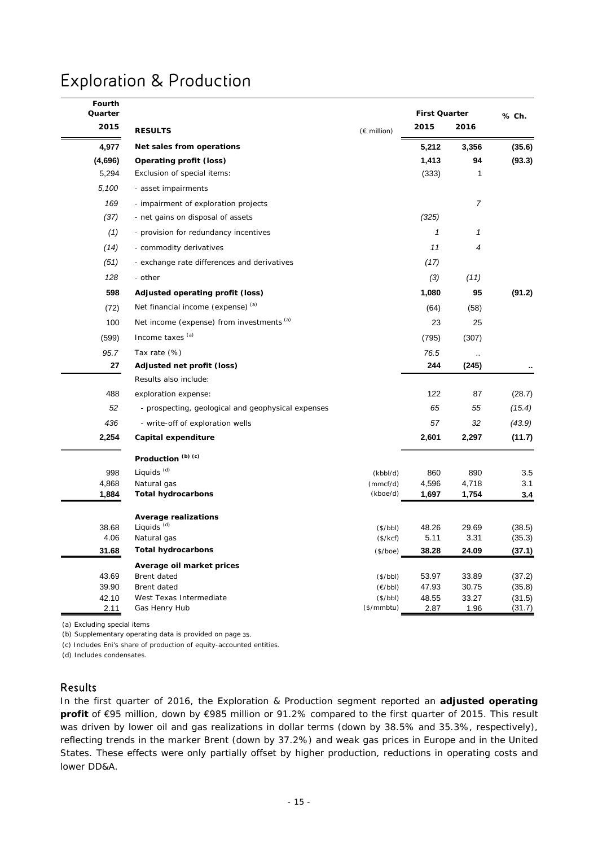## Exploration & Production

| Fourth<br>Quarter |                                                    |                        | <b>First Quarter</b> |                  | % Ch.            |  |
|-------------------|----------------------------------------------------|------------------------|----------------------|------------------|------------------|--|
| 2015              | <b>RESULTS</b>                                     | (€ million)            | 2015                 | 2016             |                  |  |
| 4,977             | Net sales from operations                          |                        | 5,212                | 3,356            | (35.6)           |  |
| (4,696)           | Operating profit (loss)                            |                        | 1,413                | 94               | (93.3)           |  |
| 5,294             | Exclusion of special items:                        |                        | (333)                | 1                |                  |  |
| 5,100             | - asset impairments                                |                        |                      |                  |                  |  |
| 169               | - impairment of exploration projects               |                        |                      | $\boldsymbol{7}$ |                  |  |
| (37)              | - net gains on disposal of assets                  |                        | (325)                |                  |                  |  |
| (1)               | - provision for redundancy incentives              |                        | $\mathbf{1}$         | $\mathbf{1}$     |                  |  |
| (14)              | - commodity derivatives                            |                        | 11                   | 4                |                  |  |
| (51)              | - exchange rate differences and derivatives        |                        | (17)                 |                  |                  |  |
| 128               | - other                                            |                        | (3)                  | (11)             |                  |  |
| 598               | Adjusted operating profit (loss)                   |                        | 1,080                | 95               | (91.2)           |  |
| (72)              | Net financial income (expense) (a)                 |                        | (64)                 | (58)             |                  |  |
| 100               | Net income (expense) from investments (a)          |                        | 23                   | 25               |                  |  |
| (599)             | Income taxes (a)                                   |                        | (795)                | (307)            |                  |  |
| 95.7              | Tax rate (%)                                       |                        | 76.5                 |                  |                  |  |
| 27                | Adjusted net profit (loss)                         |                        | 244                  | (245)            |                  |  |
|                   | Results also include:                              |                        |                      |                  |                  |  |
| 488               | exploration expense:                               |                        | 122                  | 87               | (28.7)           |  |
| 52                | - prospecting, geological and geophysical expenses |                        | 65                   | 55               | (15.4)           |  |
| 436               | - write-off of exploration wells                   |                        | 57                   | 32               | (43.9)           |  |
| 2,254             | Capital expenditure                                |                        | 2,601                | 2,297            | (11.7)           |  |
|                   | Production <sup>(b)(c)</sup>                       |                        |                      |                  |                  |  |
| 998               | Liquids <sup>(d)</sup>                             | (kbbI/d)               | 860                  | 890              | 3.5              |  |
| 4,868             | Natural gas                                        | (mmcf/d)               | 4,596                | 4,718            | 3.1              |  |
| 1,884             | <b>Total hydrocarbons</b>                          | (kboe/d)               | 1,697                | 1,754            | 3.4              |  |
|                   | <b>Average realizations</b>                        |                        |                      |                  |                  |  |
| 38.68             | Liquids <sup>(d)</sup>                             | (\$/bbl)               | 48.26                | 29.69            | (38.5)           |  |
| 4.06              | Natural gas                                        | (\$/kcf)               | 5.11                 | 3.31             | (35.3)           |  |
| 31.68             | <b>Total hydrocarbons</b>                          | (\$/boe)               | 38.28                | 24.09            | (37.1)           |  |
|                   | Average oil market prices                          |                        |                      |                  |                  |  |
| 43.69             | Brent dated                                        | (\$/bbl)               | 53.97                | 33.89            | (37.2)           |  |
| 39.90<br>42.10    | Brent dated                                        | (E/bbl)                | 47.93                | 30.75            | (35.8)           |  |
| 2.11              | West Texas Intermediate<br>Gas Henry Hub           | (\$/bbl)<br>(\$/mmbtu) | 48.55<br>2.87        | 33.27<br>1.96    | (31.5)<br>(31.7) |  |

(a) Excluding special items

(b) Supplementary operating data is provided on page 35.

(c) Includes Eni's share of production of equity-accounted entities.

(d) Includes condensates.

# Results

In the first quarter of 2016, the Exploration & Production segment reported an **adjusted operating profit** of €95 million, down by €985 million or 91.2% compared to the first quarter of 2015. This result was driven by lower oil and gas realizations in dollar terms (down by 38.5% and 35.3%, respectively), reflecting trends in the marker Brent (down by 37.2%) and weak gas prices in Europe and in the United States. These effects were only partially offset by higher production, reductions in operating costs and lower DD&A.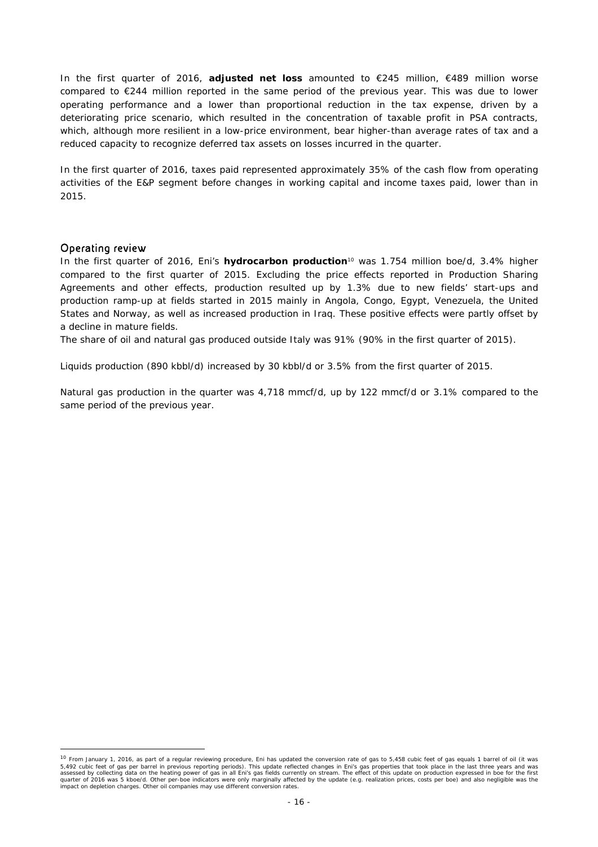In the first quarter of 2016, **adjusted net loss** amounted to €245 million, €489 million worse compared to €244 million reported in the same period of the previous year. This was due to lower operating performance and a lower than proportional reduction in the tax expense, driven by a deteriorating price scenario, which resulted in the concentration of taxable profit in PSA contracts, which, although more resilient in a low-price environment, bear higher-than average rates of tax and a reduced capacity to recognize deferred tax assets on losses incurred in the quarter.

In the first quarter of 2016, taxes paid represented approximately 35% of the cash flow from operating activities of the E&P segment before changes in working capital and income taxes paid, lower than in 2015.

#### Operating review

 $\overline{a}$ 

In the first quarter of 2016, Eni's **hydrocarbon production**10 was 1.754 million boe/d, 3.4% higher compared to the first quarter of 2015. Excluding the price effects reported in Production Sharing Agreements and other effects, production resulted up by 1.3% due to new fields' start-ups and production ramp-up at fields started in 2015 mainly in Angola, Congo, Egypt, Venezuela, the United States and Norway, as well as increased production in Iraq. These positive effects were partly offset by a decline in mature fields.

The share of oil and natural gas produced outside Italy was 91% (90% in the first quarter of 2015).

Liquids production (890 kbbl/d) increased by 30 kbbl/d or 3.5% from the first quarter of 2015.

Natural gas production in the quarter was 4,718 mmcf/d, up by 122 mmcf/d or 3.1% compared to the same period of the previous year.

<sup>&</sup>lt;sup>10</sup> From January 1, 2016, as part of a regular reviewing procedure, Eni has updated the conversion rate of gas to 5,458 cubic feet of gas equals 1 barrel of oil (it was 5,492 cubic feet of gas per barrel in previous reporting periods). This update reflected changes in Eni's gas properties that took place in the last three years and was<br>assessed by collecting data on the heating power of g quarter of 2016 was 5 kboe/d. Other per-boe indicators were only marginally affected by the update (e.g. realization prices, costs per boe) and also negligible was the impact on depletion charges. Other oil companies may use different conversion rates.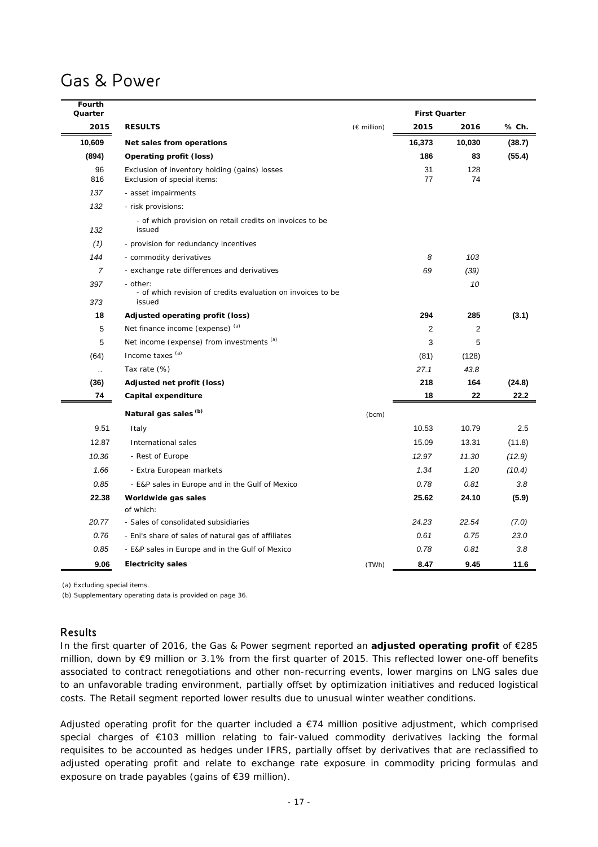## Gas & Power

| Fourth<br>Quarter    |                                                                       |                       | <b>First Quarter</b> |        |        |
|----------------------|-----------------------------------------------------------------------|-----------------------|----------------------|--------|--------|
| 2015                 | <b>RESULTS</b>                                                        | $(E \text{ million})$ | 2015                 | 2016   | % Ch.  |
| 10,609               | Net sales from operations                                             |                       | 16,373               | 10,030 | (38.7) |
| (894)                | Operating profit (loss)                                               |                       | 186                  | 83     | (55.4) |
| 96                   | Exclusion of inventory holding (gains) losses                         |                       | 31                   | 128    |        |
| 816                  | Exclusion of special items:                                           |                       | 77                   | 74     |        |
| 137                  | - asset impairments                                                   |                       |                      |        |        |
| 132                  | - risk provisions:                                                    |                       |                      |        |        |
| 132                  | - of which provision on retail credits on invoices to be<br>issued    |                       |                      |        |        |
| (1)                  | - provision for redundancy incentives                                 |                       |                      |        |        |
| 144                  | - commodity derivatives                                               |                       | 8                    | 103    |        |
| $\overline{7}$       | - exchange rate differences and derivatives                           |                       | 69                   | (39)   |        |
| 397                  | - other:                                                              |                       |                      | 10     |        |
| 373                  | - of which revision of credits evaluation on invoices to be<br>issued |                       |                      |        |        |
| 18                   | Adjusted operating profit (loss)                                      |                       | 294                  | 285    | (3.1)  |
| 5                    | Net finance income (expense) (a)                                      |                       | $\overline{c}$       | 2      |        |
| 5                    | Net income (expense) from investments (a)                             |                       | 3                    | 5      |        |
| (64)                 | Income taxes (a)                                                      |                       | (81)                 | (128)  |        |
| $\ddot{\phantom{a}}$ | Tax rate (%)                                                          |                       | 27.1                 | 43.8   |        |
| (36)                 | Adjusted net profit (loss)                                            |                       | 218                  | 164    | (24.8) |
| 74                   | Capital expenditure                                                   |                       | 18                   | 22     | 22.2   |
|                      | Natural gas sales (b)                                                 | (bcm)                 |                      |        |        |
| 9.51                 | Italy                                                                 |                       | 10.53                | 10.79  | 2.5    |
| 12.87                | International sales                                                   |                       | 15.09                | 13.31  | (11.8) |
| 10.36                | - Rest of Europe                                                      |                       | 12.97                | 11.30  | (12.9) |
| 1.66                 | - Extra European markets                                              |                       | 1.34                 | 1.20   | (10.4) |
| 0.85                 | - E&P sales in Europe and in the Gulf of Mexico                       |                       | 0.78                 | 0.81   | 3.8    |
| 22.38                | Worldwide gas sales                                                   |                       | 25.62                | 24.10  | (5.9)  |
|                      | of which:                                                             |                       |                      |        |        |
| 20.77                | - Sales of consolidated subsidiaries                                  |                       | 24.23                | 22.54  | (7.0)  |
| 0.76                 | - Eni's share of sales of natural gas of affiliates                   |                       | 0.61                 | 0.75   | 23.0   |
| 0.85                 | - E&P sales in Europe and in the Gulf of Mexico                       |                       | 0.78                 | 0.81   | 3.8    |
| 9.06                 | <b>Electricity sales</b>                                              | (TWh)                 | 8.47                 | 9.45   | 11.6   |

(a) Excluding special items.

(b) Supplementary operating data is provided on page 36.

### Results

In the first quarter of 2016, the Gas & Power segment reported an **adjusted operating profit** of €285 million, down by €9 million or 3.1% from the first quarter of 2015. This reflected lower one-off benefits associated to contract renegotiations and other non-recurring events, lower margins on LNG sales due to an unfavorable trading environment, partially offset by optimization initiatives and reduced logistical costs. The Retail segment reported lower results due to unusual winter weather conditions.

Adjusted operating profit for the quarter included a  $E74$  million positive adjustment, which comprised special charges of €103 million relating to fair-valued commodity derivatives lacking the formal requisites to be accounted as hedges under IFRS, partially offset by derivatives that are reclassified to adjusted operating profit and relate to exchange rate exposure in commodity pricing formulas and exposure on trade payables (gains of €39 million).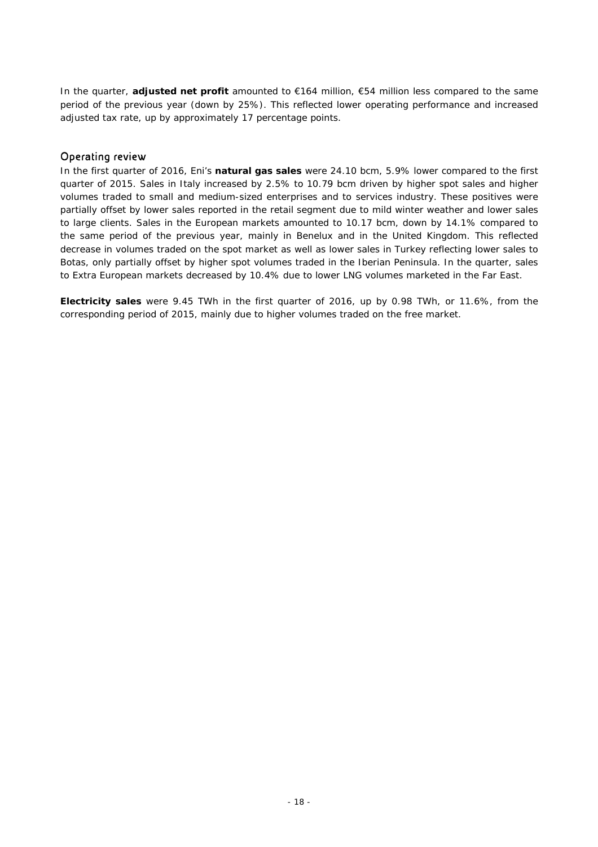In the quarter, **adjusted net profit** amounted to €164 million, €54 million less compared to the same period of the previous year (down by 25%). This reflected lower operating performance and increased adjusted tax rate, up by approximately 17 percentage points.

### Operating review

In the first quarter of 2016, Eni's **natural gas sales** were 24.10 bcm, 5.9% lower compared to the first quarter of 2015. Sales in Italy increased by 2.5% to 10.79 bcm driven by higher spot sales and higher volumes traded to small and medium-sized enterprises and to services industry. These positives were partially offset by lower sales reported in the retail segment due to mild winter weather and lower sales to large clients. Sales in the European markets amounted to 10.17 bcm, down by 14.1% compared to the same period of the previous year, mainly in Benelux and in the United Kingdom. This reflected decrease in volumes traded on the spot market as well as lower sales in Turkey reflecting lower sales to Botas, only partially offset by higher spot volumes traded in the Iberian Peninsula. In the quarter, sales to Extra European markets decreased by 10.4% due to lower LNG volumes marketed in the Far East.

**Electricity sales** were 9.45 TWh in the first quarter of 2016, up by 0.98 TWh, or 11.6%, from the corresponding period of 2015, mainly due to higher volumes traded on the free market.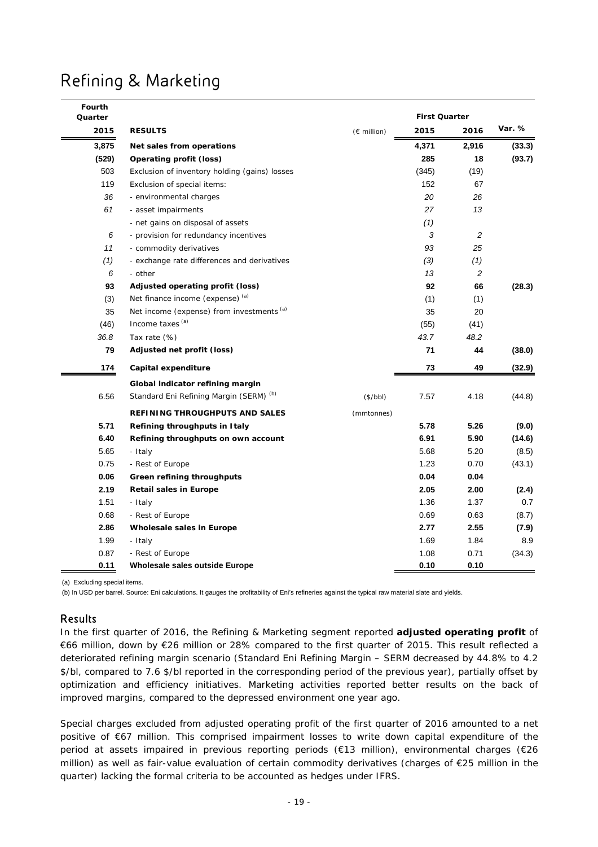# Refining & Marketing

| Fourth<br>Quarter |                                                    |                       | <b>First Quarter</b> |            |        |  |
|-------------------|----------------------------------------------------|-----------------------|----------------------|------------|--------|--|
| 2015              | <b>RESULTS</b>                                     | $(E \text{ million})$ | 2015                 | 2016       | Var. % |  |
| 3,875             | Net sales from operations                          |                       | 4,371                | 2,916      | (33.3) |  |
| (529)             | Operating profit (loss)                            |                       | 285                  | 18         | (93.7) |  |
| 503               | Exclusion of inventory holding (gains) losses      |                       | (345)                | (19)       |        |  |
| 119               | Exclusion of special items:                        |                       | 152                  | 67         |        |  |
| 36                | - environmental charges                            |                       | 20                   | 26         |        |  |
| 61                | - asset impairments                                |                       | 27                   | 13         |        |  |
|                   | - net gains on disposal of assets                  |                       | (1)                  |            |        |  |
| 6                 | - provision for redundancy incentives              |                       | 3                    | $\sqrt{2}$ |        |  |
| 11                | - commodity derivatives                            |                       | 93                   | 25         |        |  |
| (1)               | - exchange rate differences and derivatives        |                       | (3)                  | (1)        |        |  |
| 6                 | - other                                            |                       | 13                   | 2          |        |  |
| 93                | Adjusted operating profit (loss)                   |                       | 92                   | 66         | (28.3) |  |
| (3)               | Net finance income (expense) (a)                   |                       | (1)                  | (1)        |        |  |
| 35                | Net income (expense) from investments (a)          |                       | 35                   | 20         |        |  |
| (46)              | Income taxes <sup>(a)</sup>                        |                       | (55)                 | (41)       |        |  |
| 36.8              | Tax rate (%)                                       |                       | 43.7                 | 48.2       |        |  |
| 79                | Adjusted net profit (loss)                         |                       | 71                   | 44         | (38.0) |  |
| 174               | Capital expenditure                                |                       | 73                   | 49         | (32.9) |  |
|                   | Global indicator refining margin                   |                       |                      |            |        |  |
| 6.56              | Standard Eni Refining Margin (SERM) <sup>(b)</sup> | $($ \$/bbl)           | 7.57                 | 4.18       | (44.8) |  |
|                   | REFINING THROUGHPUTS AND SALES                     | (mmtonnes)            |                      |            |        |  |
| 5.71              | Refining throughputs in Italy                      |                       | 5.78                 | 5.26       | (9.0)  |  |
| 6.40              | Refining throughputs on own account                |                       | 6.91                 | 5.90       | (14.6) |  |
| 5.65              | - Italy                                            |                       | 5.68                 | 5.20       | (8.5)  |  |
| 0.75              | - Rest of Europe                                   |                       | 1.23                 | 0.70       | (43.1) |  |
| 0.06              | Green refining throughputs                         |                       | 0.04                 | 0.04       |        |  |
| 2.19              | Retail sales in Europe                             |                       | 2.05                 | 2.00       | (2.4)  |  |
| 1.51              | - Italy                                            |                       | 1.36                 | 1.37       | 0.7    |  |
| 0.68              | - Rest of Europe                                   |                       | 0.69                 | 0.63       | (8.7)  |  |
| 2.86              | Wholesale sales in Europe                          |                       | 2.77                 | 2.55       | (7.9)  |  |
| 1.99              | - Italy                                            |                       | 1.69                 | 1.84       | 8.9    |  |
| 0.87              | - Rest of Europe                                   |                       | 1.08                 | 0.71       | (34.3) |  |
| 0.11              | Wholesale sales outside Europe                     |                       | 0.10                 | 0.10       |        |  |

(a) Excluding special items.

(b) In USD per barrel. Source: Eni calculations. It gauges the profitability of Eni's refineries against the typical raw material slate and yields.

### Results

In the first quarter of 2016, the Refining & Marketing segment reported **adjusted operating profit** of €66 million, down by €26 million or 28% compared to the first quarter of 2015. This result reflected a deteriorated refining margin scenario (Standard Eni Refining Margin – SERM decreased by 44.8% to 4.2 \$/bl, compared to 7.6 \$/bl reported in the corresponding period of the previous year), partially offset by optimization and efficiency initiatives. Marketing activities reported better results on the back of improved margins, compared to the depressed environment one year ago.

Special charges excluded from adjusted operating profit of the first quarter of 2016 amounted to a net positive of €67 million. This comprised impairment losses to write down capital expenditure of the period at assets impaired in previous reporting periods (€13 million), environmental charges (€26 million) as well as fair-value evaluation of certain commodity derivatives (charges of €25 million in the quarter) lacking the formal criteria to be accounted as hedges under IFRS.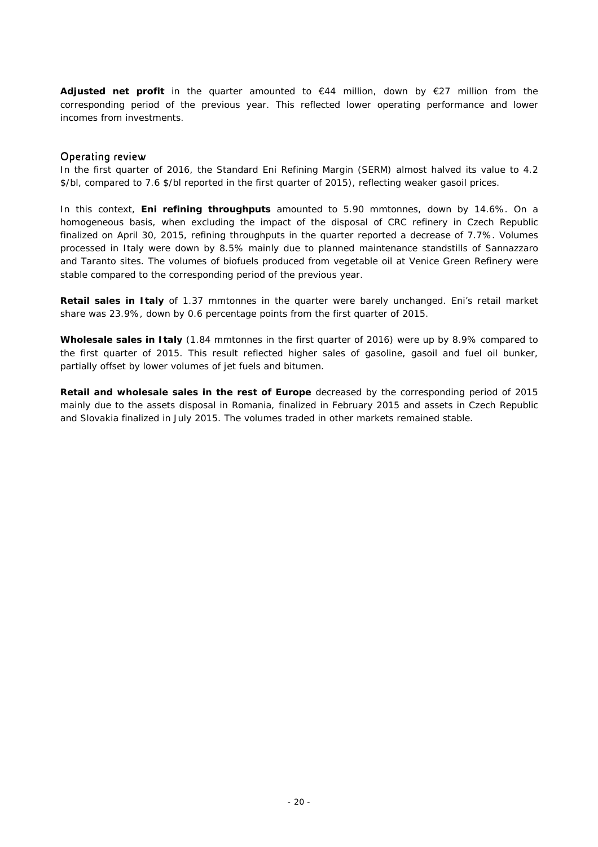**Adjusted net profit** in the quarter amounted to  $\epsilon$ 44 million, down by  $\epsilon$ 27 million from the corresponding period of the previous year. This reflected lower operating performance and lower incomes from investments.

### Operating review

In the first quarter of 2016, the Standard Eni Refining Margin (SERM) almost halved its value to 4.2 \$/bl, compared to 7.6 \$/bl reported in the first quarter of 2015), reflecting weaker gasoil prices.

In this context, **Eni refining throughputs** amounted to 5.90 mmtonnes, down by 14.6%. On a homogeneous basis, when excluding the impact of the disposal of CRC refinery in Czech Republic finalized on April 30, 2015, refining throughputs in the quarter reported a decrease of 7.7%. Volumes processed in Italy were down by 8.5% mainly due to planned maintenance standstills of Sannazzaro and Taranto sites. The volumes of biofuels produced from vegetable oil at Venice Green Refinery were stable compared to the corresponding period of the previous year.

**Retail sales in Italy** of 1.37 mmtonnes in the quarter were barely unchanged. Eni's retail market share was 23.9%, down by 0.6 percentage points from the first quarter of 2015.

**Wholesale sales in Italy** (1.84 mmtonnes in the first quarter of 2016) were up by 8.9% compared to the first quarter of 2015. This result reflected higher sales of gasoline, gasoil and fuel oil bunker, partially offset by lower volumes of jet fuels and bitumen.

**Retail and wholesale sales in the rest of Europe** decreased by the corresponding period of 2015 mainly due to the assets disposal in Romania, finalized in February 2015 and assets in Czech Republic and Slovakia finalized in July 2015. The volumes traded in other markets remained stable.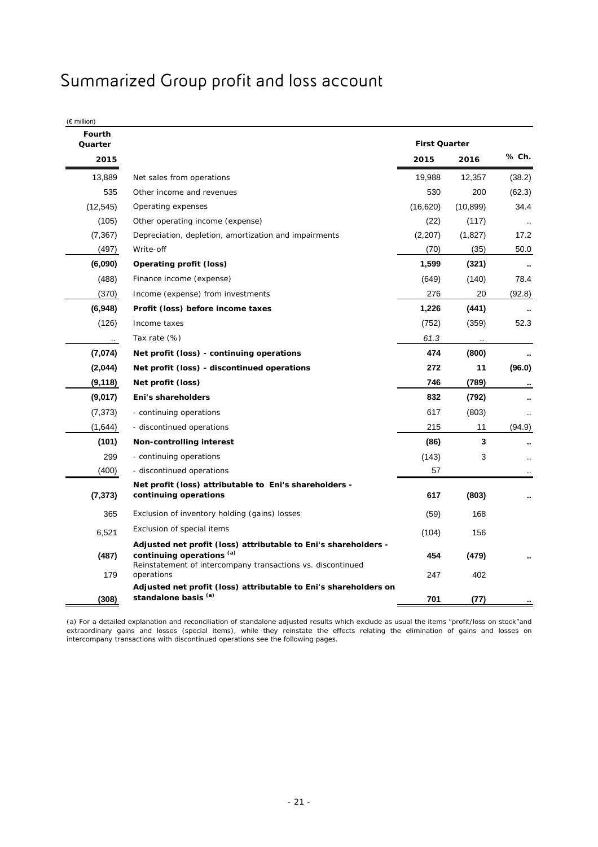## Summarized Group profit and loss account

(€ million)

| <b>Fourth</b><br>Quarter |                                                                                                                                                                           | <b>First Quarter</b> |              |        |
|--------------------------|---------------------------------------------------------------------------------------------------------------------------------------------------------------------------|----------------------|--------------|--------|
| 2015                     |                                                                                                                                                                           | 2015                 | 2016         | % Ch.  |
| 13,889                   | Net sales from operations                                                                                                                                                 | 19,988               | 12,357       | (38.2) |
| 535                      | Other income and revenues                                                                                                                                                 | 530                  | 200          | (62.3) |
| (12, 545)                | Operating expenses                                                                                                                                                        | (16,620)             | (10, 899)    | 34.4   |
| (105)                    | Other operating income (expense)                                                                                                                                          | (22)                 | (117)        |        |
| (7, 367)                 | Depreciation, depletion, amortization and impairments                                                                                                                     | (2,207)              | (1,827)      | 17.2   |
| (497)                    | Write-off                                                                                                                                                                 | (70)                 | (35)         | 50.0   |
| (6,090)                  | <b>Operating profit (loss)</b>                                                                                                                                            | 1,599                | (321)        |        |
| (488)                    | Finance income (expense)                                                                                                                                                  | (649)                | (140)        | 78.4   |
| (370)                    | Income (expense) from investments                                                                                                                                         | 276                  | 20           | (92.8) |
| (6,948)                  | Profit (loss) before income taxes                                                                                                                                         | 1,226                | (441)        |        |
| (126)                    | Income taxes                                                                                                                                                              | (752)                | (359)        | 52.3   |
|                          | Tax rate (%)                                                                                                                                                              | 61.3                 |              |        |
| (7,074)                  | Net profit (loss) - continuing operations                                                                                                                                 | 474                  | (800)        |        |
| (2,044)                  | Net profit (loss) - discontinued operations                                                                                                                               | 272                  | 11           | (96.0) |
| (9, 118)                 | Net profit (loss)                                                                                                                                                         | 746                  | (789)        |        |
| (9,017)                  | Eni's shareholders                                                                                                                                                        | 832                  | (792)        |        |
| (7, 373)                 | - continuing operations                                                                                                                                                   | 617                  | (803)        |        |
| (1,644)                  | - discontinued operations                                                                                                                                                 | 215                  | 11           | (94.9) |
| (101)                    | Non-controlling interest                                                                                                                                                  | (86)                 | 3            |        |
| 299                      | - continuing operations                                                                                                                                                   | (143)                | 3            |        |
| (400)                    | - discontinued operations                                                                                                                                                 | 57                   |              |        |
| (7, 373)                 | Net profit (loss) attributable to Eni's shareholders -<br>continuing operations                                                                                           | 617                  | (803)        |        |
| 365                      | Exclusion of inventory holding (gains) losses                                                                                                                             | (59)                 | 168          |        |
| 6,521                    | Exclusion of special items                                                                                                                                                | (104)                | 156          |        |
| (487)                    | Adjusted net profit (loss) attributable to Eni's shareholders -<br>continuing operations (a)<br>Reinstatement of intercompany transactions vs. discontinued<br>operations | 454                  | (479)<br>402 |        |
| 179<br>(308)             | Adjusted net profit (loss) attributable to Eni's shareholders on<br>standalone basis (a)                                                                                  | 247<br>701           | (77)         |        |

(a) For a detailed explanation and reconciliation of standalone adjusted results which exclude as usual the items "profit/loss on stock"and extraordinary gains and losses (special items), while they reinstate the effects relating the elimination of gains and losses on intercompany transactions with discontinued operations see the following pages.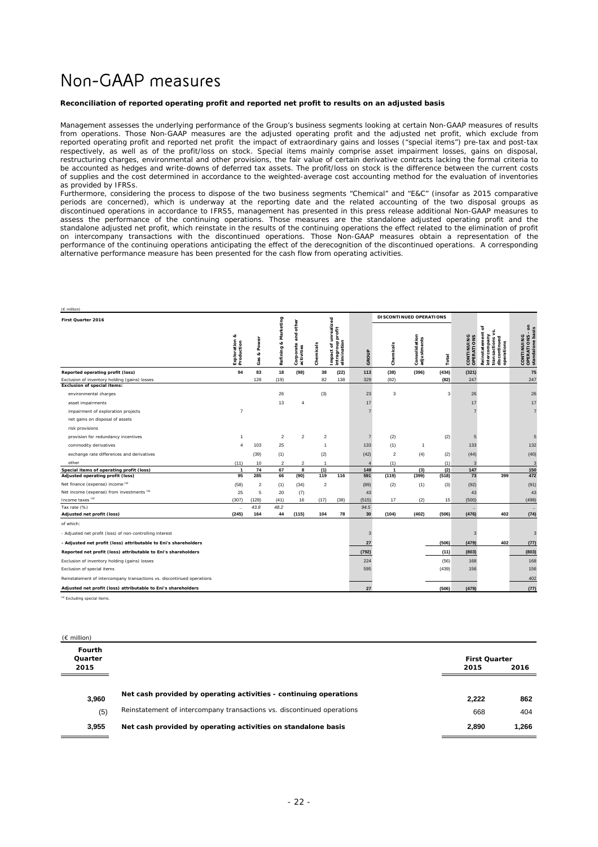## Non-GAAP measures

#### **Reconciliation of reported operating profit and reported net profit to results on an adjusted basis**

Management assesses the underlying performance of the Group's business segments looking at certain Non-GAAP measures of results from operations. Those Non-GAAP measures are the adjusted operating profit and the adjusted net profit, which exclude from reported operating profit and reported net profit the impact of extraordinary gains and losses ("special items") pre-tax and post-tax respectively, as well as of the profit/loss on stock. Special items mainly comprise asset impairment losses, gains on disposal, restructuring charges, environmental and other provisions, the fair value of certain derivative contracts lacking the formal criteria to be accounted as hedges and write-downs of deferred tax assets. The profit/loss on stock is the difference between the current costs of supplies and the cost determined in accordance to the weighted-average cost accounting method for the evaluation of inventories as provided by IFRSs.

Furthermore, considering the process to dispose of the two business segments "Chemical" and "E&C" (insofar as 2015 comparative periods are concerned), which is underway at the reporting date and the related accounting of the two disposal groups as discontinued operations in accordance to IFRS5, management has presented in this press release additional Non-GAAP measures to assess the performance of the continuing operations. Those measures are the standalone adjusted operating profit and the standalone adjusted net profit, which reinstate in the results of the continuing operations the effect related to the elimination of profit on intercompany transactions with the discontinued operations. Those Non-GAAP measures obtain a representation of the performance of the continuing operations anticipating the effect of the derecognition of the discontinued operations. A corresponding alternative performance measure has been presented for the cash flow from operating activities.

| $(E$ million)<br>First Quarter 2016                                    |                                |                   |                         |                                                 |                         |                                                               |                | DI SCONTI NUED OPERATIONS |                              |       |                          |                                                                                       |                                                   |
|------------------------------------------------------------------------|--------------------------------|-------------------|-------------------------|-------------------------------------------------|-------------------------|---------------------------------------------------------------|----------------|---------------------------|------------------------------|-------|--------------------------|---------------------------------------------------------------------------------------|---------------------------------------------------|
|                                                                        | œ<br>Exploration<br>Production | Power<br>ø<br>Gas | & Marketing<br>Refining | other<br>and<br>rate<br>Corporate<br>activities | Chemicals               | unrealized<br>intragroup profit<br>elimination<br>đ<br>Impact | GROUP          | Chemicals                 | Consolidation<br>adjustments | Total | CONTINUING<br>OPERATIONS | č<br>Reinstatement<br>intercompany<br>discontinued<br>E<br>operations<br>nsactio<br>Ē | CONTINUING<br>OPERATIONS - on<br>standalone basis |
| Reported operating profit (loss)                                       | 94                             | 83                | 18                      | (98)                                            | 38                      | (22)                                                          | 113            | (38)                      | (396)                        | (434) | (321)                    |                                                                                       | 75                                                |
| Exclusion of inventory holding (gains) losses                          |                                | 128               | (19)                    |                                                 | 82                      | 138                                                           | 329            | (82)                      |                              | (82)  | 247                      |                                                                                       | 247                                               |
| <b>Exclusion of special items:</b>                                     |                                |                   |                         |                                                 |                         |                                                               |                |                           |                              |       |                          |                                                                                       |                                                   |
| environmental charges                                                  |                                |                   | 26                      |                                                 | (3)                     |                                                               | 23             | 3                         |                              | 3     | 26                       |                                                                                       | 26                                                |
| asset impairments                                                      |                                |                   | 13                      | $\overline{4}$                                  |                         |                                                               | 17             |                           |                              |       | 17                       |                                                                                       | 17                                                |
| impairment of exploration projects                                     | $\overline{7}$                 |                   |                         |                                                 |                         |                                                               | $\overline{7}$ |                           |                              |       |                          |                                                                                       | $\overline{7}$                                    |
| net gains on disposal of assets                                        |                                |                   |                         |                                                 |                         |                                                               |                |                           |                              |       |                          |                                                                                       |                                                   |
| risk provisions                                                        |                                |                   |                         |                                                 |                         |                                                               |                |                           |                              |       |                          |                                                                                       |                                                   |
| provision for redundancy incentives                                    | $\overline{1}$                 |                   | $\overline{\mathbf{c}}$ | $\overline{2}$                                  | 2                       |                                                               | $\overline{7}$ | (2)                       |                              | (2)   | 5                        |                                                                                       | 5                                                 |
| commodity derivatives                                                  | 4                              | 103               | 25                      |                                                 | $\overline{1}$          |                                                               | 133            | (1)                       | $\mathbf{1}$                 |       | 133                      |                                                                                       | 132                                               |
| exchange rate differences and derivatives                              |                                | (39)              | (1)                     |                                                 | (2)                     |                                                               | (42)           | $\overline{\mathbf{c}}$   | (4)                          | (2)   | (44)                     |                                                                                       | (40)                                              |
| other                                                                  | (11)                           | 10                | $\overline{2}$          | $\overline{2}$                                  | $\overline{1}$          |                                                               | 4              | (1)                       |                              | (1)   | 3                        |                                                                                       | 3                                                 |
| Special items of operating profit (loss)                               | $\mathbf{1}$                   | 74                | 67                      | 8                                               | (1)                     |                                                               | 149            | $\mathbf{1}$              | (3)                          | (2)   | 147                      |                                                                                       | 150                                               |
| Adjusted operating profit (loss)                                       | 95                             | 285               | 66                      | (90)                                            | 119                     | 116                                                           | 591            | (119)                     | (399)                        | (518) | $\overline{73}$          | 399                                                                                   | 472                                               |
| Net finance (expense) income (a)                                       | (58)                           | $\boldsymbol{2}$  | (1)                     | (34)                                            | $\overline{\mathbf{c}}$ |                                                               | (89)           | (2)                       | (1)                          | (3)   | (92)                     |                                                                                       | (91)                                              |
| Net income (expense) from investments (a)                              | 25                             | 5                 | 20                      | (7)                                             |                         |                                                               | 43             |                           |                              |       | 43                       |                                                                                       | 43                                                |
| Income taxes (a)                                                       | (307)                          | (128)             | (41)                    | 16                                              | (17)                    | (38)                                                          | (515)          | 17                        | (2)                          | 15    | (500)                    |                                                                                       | (498)                                             |
| Tax rate (%)                                                           | .,                             | 43.8              | 48.2                    |                                                 |                         |                                                               | 94.5           |                           |                              |       | ×,                       |                                                                                       | $\ddot{\phantom{a}}$                              |
| Adjusted net profit (loss)                                             | (245)                          | 164               | 44                      | (115)                                           | 104                     | 78                                                            | 30             | (104)                     | (402)                        | (506) | (476)                    | 402                                                                                   | (74)                                              |
| of which:                                                              |                                |                   |                         |                                                 |                         |                                                               |                |                           |                              |       |                          |                                                                                       |                                                   |
| - Adjusted net profit (loss) of non-controlling interest               |                                |                   |                         |                                                 |                         |                                                               | 3              |                           |                              |       | 3                        |                                                                                       | 3                                                 |
| - Adjusted net profit (loss) attributable to Eni's shareholders        |                                |                   |                         |                                                 |                         |                                                               | 27             |                           |                              | (506) | (479)                    | 402                                                                                   | (77)                                              |
| Reported net profit (loss) attributable to Eni's shareholders          |                                |                   |                         |                                                 |                         |                                                               | (792)          |                           |                              | (11)  | (803)                    |                                                                                       | (803)                                             |
| Exclusion of inventory holding (gains) losses                          |                                |                   |                         |                                                 |                         |                                                               | 224            |                           |                              | (56)  | 168                      |                                                                                       | 168                                               |
| Exclusion of special items                                             |                                |                   |                         |                                                 |                         |                                                               | 595            |                           |                              | (439) | 156                      |                                                                                       | 156                                               |
| Reinstatement of intercompany transactions vs. discontinued operations |                                |                   |                         |                                                 |                         |                                                               |                |                           |                              |       |                          |                                                                                       | 402                                               |
| Adjusted net profit (loss) attributable to Eni's shareholders          |                                |                   |                         |                                                 |                         |                                                               | 27             |                           |                              | (506) | (479)                    |                                                                                       | (77)                                              |

<sup>(a)</sup> Excluding special ite

 $(f$  million)

**Fourth Quarter 2015 2015 2016 3,960 Net cash provided by operating activities - continuing operations 2,222 862** (5) Reinstatement of intercompany transactions vs. discontinued operations 668 404 **3,955 Net cash provided by operating activities on standalone basis 2,890 1,266 First Quarter**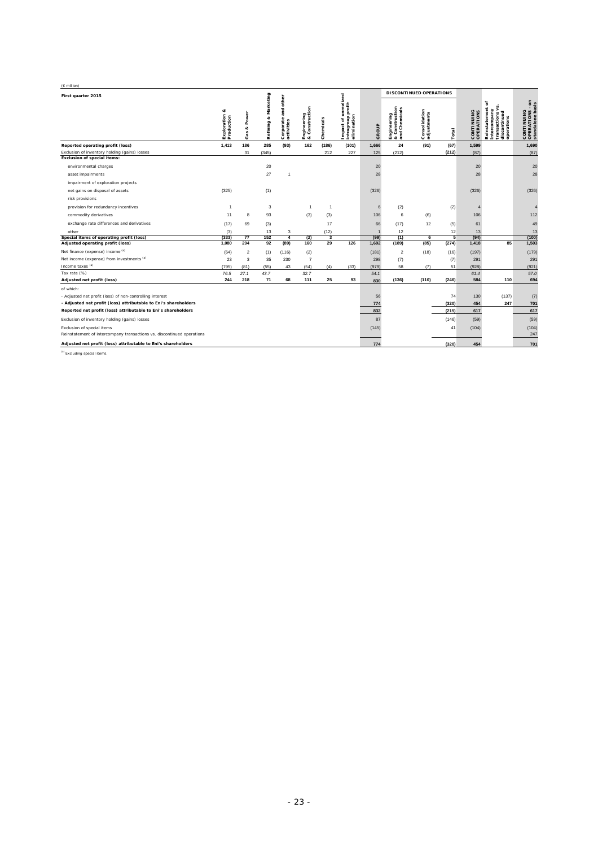| (€ million)                                                            |                                  |                                 |                            |                                                      |                               |                |                                                                 |       |                                                |                              |       |                          |                                                                                       |                                                   |
|------------------------------------------------------------------------|----------------------------------|---------------------------------|----------------------------|------------------------------------------------------|-------------------------------|----------------|-----------------------------------------------------------------|-------|------------------------------------------------|------------------------------|-------|--------------------------|---------------------------------------------------------------------------------------|---------------------------------------------------|
| First quarter 2015                                                     |                                  |                                 |                            |                                                      |                               |                |                                                                 |       | DI SCONTINUED OPERATIONS                       |                              |       |                          |                                                                                       |                                                   |
|                                                                        | ಳ<br>Exploration &<br>Production | ş<br>c<br>٥<br>d<br>u<br>œ<br>Ó | Marketing<br>ø<br>Refining | other<br>and<br>$\bullet$<br>Corporate<br>activities | Engineering<br>& Construction | Chemicals      | unrealized<br>profit<br>elimination<br>intragroup<br>៵<br>mpact | GROUP | Engineering<br>& Construction<br>and Chemicals | Consolidation<br>adjustments | Total | CONTINUING<br>OPERATIONS | Reinstatement<br>5<br>intercompany<br>ъ<br>transactions<br>å<br>operations<br>discont | ã<br>CONTINUING<br>OPERATIONS -<br>standalone bas |
| Reported operating profit (loss)                                       | 1,413                            | 186                             | 285                        | (93)                                                 | 162                           | (186)          | (101)                                                           | 1,666 | 24                                             | (91)                         | (67)  | 1,599                    |                                                                                       | 1,690                                             |
| Exclusion of inventory holding (gains) losses                          |                                  | 31                              | (345)                      |                                                      |                               | 212            | 227                                                             | 125   | (212)                                          |                              | (212) | (87)                     |                                                                                       | (87)                                              |
| <b>Exclusion of special items:</b>                                     |                                  |                                 |                            |                                                      |                               |                |                                                                 |       |                                                |                              |       |                          |                                                                                       |                                                   |
| environmental charges                                                  |                                  |                                 | 20                         |                                                      |                               |                |                                                                 | 20    |                                                |                              |       | 20                       |                                                                                       | 20                                                |
| asset impairments                                                      |                                  |                                 | 27                         | $\overline{1}$                                       |                               |                |                                                                 | 28    |                                                |                              |       | 28                       |                                                                                       | 28                                                |
| impairment of exploration projects                                     |                                  |                                 |                            |                                                      |                               |                |                                                                 |       |                                                |                              |       |                          |                                                                                       |                                                   |
| net gains on disposal of assets                                        | (325)                            |                                 | (1)                        |                                                      |                               |                |                                                                 | (326) |                                                |                              |       | (326)                    |                                                                                       | (326)                                             |
| risk provisions                                                        |                                  |                                 |                            |                                                      |                               |                |                                                                 |       |                                                |                              |       |                          |                                                                                       |                                                   |
| provision for redundancy incentives                                    | $\overline{1}$                   |                                 | 3                          |                                                      | $\overline{1}$                | $\overline{1}$ |                                                                 | 6     | (2)                                            |                              | (2)   |                          |                                                                                       | $\overline{4}$                                    |
| commodity derivatives                                                  | 11                               | 8                               | 93                         |                                                      | (3)                           | (3)            |                                                                 | 106   | 6                                              | (6)                          |       | 106                      |                                                                                       | 112                                               |
| exchange rate differences and derivatives                              | (17)                             | 69                              | (3)                        |                                                      |                               | 17             |                                                                 | 66    | (17)                                           | 12                           | (5)   | 61                       |                                                                                       | 49                                                |
| other                                                                  | (3)                              |                                 | 13                         | 3                                                    |                               | (12)           |                                                                 |       | 12                                             |                              | 12    | 13                       |                                                                                       | 13                                                |
| Special items of operating profit (loss)                               | (333)                            | 77                              | 152                        | $\overline{4}$                                       | (2)                           | 3              |                                                                 | (99)  | (1)                                            | 6                            | 5     | (94)                     |                                                                                       | (100)                                             |
| Adjusted operating profit (loss)                                       | 1,080                            | 294                             | 92                         | (89)                                                 | 160                           | 29             | 126                                                             | 1,692 | (189)                                          | (85)                         | (274) | 1,418                    | 85                                                                                    | 1,503                                             |
| Net finance (expense) income (a)                                       | (64)                             | $\overline{2}$                  | (1)                        | (116)                                                | (2)                           |                |                                                                 | (181) | $\overline{2}$                                 | (18)                         | (16)  | (197)                    |                                                                                       | (179)                                             |
| Net income (expense) from investments (a)                              | 23                               | 3                               | 35                         | 230                                                  | $\overline{7}$                |                |                                                                 | 298   | (7)                                            |                              | (7)   | 291                      |                                                                                       | 291                                               |
| Income taxes (a)                                                       | (795)                            | (81)                            | (55)                       | 43                                                   | (54)                          | (4)            | (33)                                                            | (979) | 58                                             | (7)                          | 51    | (928)                    |                                                                                       | (921)                                             |
| Tax rate (%)                                                           | 76.5                             | 27.1                            | 43.7                       |                                                      | 32.7                          |                |                                                                 | 54.1  |                                                |                              |       | 61.4                     |                                                                                       | 57.0                                              |
| Adjusted net profit (loss)                                             | 244                              | 218                             | 71                         | 68                                                   | 111                           | 25             | 93                                                              | 830   | (136)                                          | (110)                        | (246) | 584                      | 110                                                                                   | 694                                               |
| of which:                                                              |                                  |                                 |                            |                                                      |                               |                |                                                                 |       |                                                |                              |       |                          |                                                                                       |                                                   |
| - Adjusted net profit (loss) of non-controlling interest               |                                  |                                 |                            |                                                      |                               |                |                                                                 | 56    |                                                |                              | 74    | 130                      | (137)                                                                                 | (7)                                               |
| - Adjusted net profit (loss) attributable to Eni's shareholders        |                                  |                                 |                            |                                                      |                               |                |                                                                 | 774   |                                                |                              | (320) | 454                      | 247                                                                                   | 701                                               |
| Reported net profit (loss) attributable to Eni's shareholders          |                                  |                                 |                            |                                                      |                               |                |                                                                 | 832   |                                                |                              | (215) | 617                      |                                                                                       | 617                                               |
| Exclusion of inventory holding (gains) losses                          |                                  |                                 |                            |                                                      |                               |                |                                                                 | 87    |                                                |                              | (146) | (59)                     |                                                                                       | (59)                                              |
| Exclusion of special items                                             |                                  |                                 |                            |                                                      |                               |                |                                                                 | (145) |                                                |                              | 41    | (104)                    |                                                                                       | (104)                                             |
| Reinstatement of intercompany transactions vs. discontinued operations |                                  |                                 |                            |                                                      |                               |                |                                                                 |       |                                                |                              |       |                          |                                                                                       | 247                                               |
| Adjusted net profit (loss) attributable to Eni's shareholders          |                                  |                                 |                            |                                                      |                               |                |                                                                 | 774   |                                                |                              | (320) | 454                      |                                                                                       | 701                                               |

(a) Excluding special items.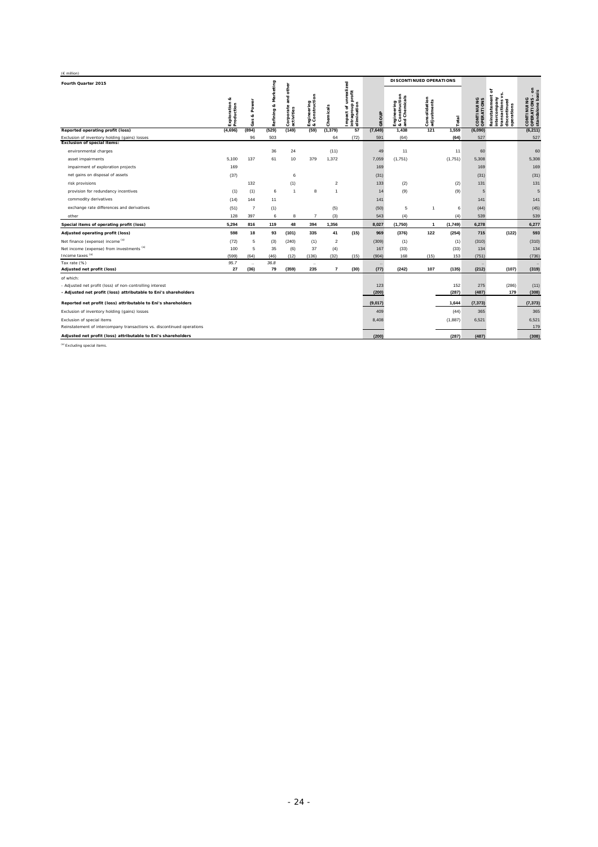| (€ million)                                                                         |                                                  |                      |                                 |                                      |                               |                         |                                                               |          |                                                       |                              |         |                          |                                                                                              |                                                                                |
|-------------------------------------------------------------------------------------|--------------------------------------------------|----------------------|---------------------------------|--------------------------------------|-------------------------------|-------------------------|---------------------------------------------------------------|----------|-------------------------------------------------------|------------------------------|---------|--------------------------|----------------------------------------------------------------------------------------------|--------------------------------------------------------------------------------|
| Fourth Quarter 2015                                                                 |                                                  |                      |                                 |                                      |                               |                         |                                                               |          |                                                       | DISCONTINUED OPERATIONS      |         |                          |                                                                                              |                                                                                |
|                                                                                     | œ<br>Exploration &<br>Production<br>iction<br>đu | Power<br>œ<br>Gas    | keting<br>Mar<br>e3<br>Refining | and other<br>Corporate<br>activities | Engineering<br>& Construction | Chemicals               | unrealized<br>intragroup profit<br>elimination<br>ď<br>Impact | GROUP    | tion<br>Engineering<br>& Construction<br>and Chemical | Consolidation<br>adjustments | Total   | CONTINUING<br>OPERATIONS | ৳<br>Reinstatement<br>intercompany<br>ons<br>ued<br>operations<br>transaction<br>discontinue | 5 <sub>2</sub><br>$\mathbf{r}$<br>CONTINUING<br>OPERATIONS -<br>standalone bas |
| Reported operating profit (loss)                                                    | (4,696)                                          | (894)                | (529)                           | (149)                                | (59)                          | (1, 379)                | 57                                                            | (7, 649) | 1,438                                                 | 121                          | 1,559   | (6,090)                  |                                                                                              | (6, 211)                                                                       |
| Exclusion of inventory holding (gains) losses<br><b>Exclusion of special items:</b> |                                                  | 96                   | 503                             |                                      |                               | 64                      | (72)                                                          | 591      | (64)                                                  |                              | (64)    | 527                      |                                                                                              | 527                                                                            |
|                                                                                     |                                                  |                      |                                 |                                      |                               |                         |                                                               |          |                                                       |                              |         |                          |                                                                                              |                                                                                |
| environmental charges                                                               |                                                  |                      | 36                              | 24                                   |                               | (11)                    |                                                               | 49       | 11                                                    |                              | 11      | 60                       |                                                                                              | 60                                                                             |
| asset impairments                                                                   | 5,100                                            | 137                  | 61                              | 10                                   | 379                           | 1,372                   |                                                               | 7,059    | (1,751)                                               |                              | (1,751) | 5,308                    |                                                                                              | 5,308                                                                          |
| impairment of exploration projects                                                  | 169                                              |                      |                                 |                                      |                               |                         |                                                               | 169      |                                                       |                              |         | 169                      |                                                                                              | 169                                                                            |
| net gains on disposal of assets                                                     | (37)                                             |                      |                                 | 6                                    |                               |                         |                                                               | (31)     |                                                       |                              |         | (31)                     |                                                                                              | (31)                                                                           |
| risk provisions                                                                     |                                                  | 132                  |                                 | (1)                                  |                               | $\overline{2}$          |                                                               | 133      | (2)                                                   |                              | (2)     | 131                      |                                                                                              | 131                                                                            |
| provision for redundancy incentives                                                 | (1)                                              | (1)                  | 6                               | $\overline{1}$                       | 8                             | $\mathbf{1}$            |                                                               | 14       | (9)                                                   |                              | (9)     | 5                        |                                                                                              | 5                                                                              |
| commodity derivatives                                                               | (14)                                             | 144                  | 11                              |                                      |                               |                         |                                                               | 141      |                                                       |                              |         | 141                      |                                                                                              | 141                                                                            |
| exchange rate differences and derivatives                                           | (51)                                             | $\overline{7}$       | (1)                             |                                      |                               | (5)                     |                                                               | (50)     | 5                                                     | $\overline{1}$               | 6       | (44)                     |                                                                                              | (45)                                                                           |
| other                                                                               | 128                                              | 397                  | 6                               | 8                                    | $\overline{7}$                | (3)                     |                                                               | 543      | (4)                                                   |                              | (4)     | 539                      |                                                                                              | 539                                                                            |
| Special items of operating profit (loss)                                            | 5,294                                            | 816                  | 119                             | 48                                   | 394                           | 1,356                   |                                                               | 8,027    | (1,750)                                               | $\mathbf{1}$                 | (1,749) | 6,278                    |                                                                                              | 6,277                                                                          |
| Adjusted operating profit (loss)                                                    | 598                                              | 18                   | 93                              | (101)                                | 335                           | 41                      | (15)                                                          | 969      | (376)                                                 | 122                          | (254)   | 715                      | (122)                                                                                        | 593                                                                            |
| Net finance (expense) income (a)                                                    | (72)                                             | 5                    | (3)                             | (240)                                | (1)                           | $\overline{\mathbf{2}}$ |                                                               | (309)    | (1)                                                   |                              | (1)     | (310)                    |                                                                                              | (310)                                                                          |
| Net income (expense) from investments (a)                                           | 100                                              | 5                    | 35                              | (6)                                  | 37                            | (4)                     |                                                               | 167      | (33)                                                  |                              | (33)    | 134                      |                                                                                              | 134                                                                            |
| Income taxes (a)                                                                    | (599)                                            | (64)                 | (46)                            | (12)                                 | (136)                         | (32)                    | (15)                                                          | (904)    | 168                                                   | (15)                         | 153     | (751)                    |                                                                                              | (736)                                                                          |
| Tax rate (%)                                                                        | 95.7                                             | $\ddot{\phantom{a}}$ | 36.8                            |                                      | $\ddot{\phantom{1}}$          |                         |                                                               | $\cdot$  |                                                       |                              |         |                          |                                                                                              |                                                                                |
| Adjusted net profit (loss)                                                          | 27                                               | (36)                 | 79                              | (359)                                | 235                           | $\overline{7}$          | (30)                                                          | (77)     | (242)                                                 | 107                          | (135)   | (212)                    | (107)                                                                                        | (319)                                                                          |
| of which:                                                                           |                                                  |                      |                                 |                                      |                               |                         |                                                               |          |                                                       |                              |         |                          |                                                                                              |                                                                                |
| - Adjusted net profit (loss) of non-controlling interest                            |                                                  |                      |                                 |                                      |                               |                         |                                                               | 123      |                                                       |                              | 152     | 275                      | (286)                                                                                        | (11)                                                                           |
| - Adjusted net profit (loss) attributable to Eni's shareholders                     |                                                  |                      |                                 |                                      |                               |                         |                                                               | (200)    |                                                       |                              | (287)   | (487)                    | 179                                                                                          | (308)                                                                          |
| Reported net profit (loss) attributable to Eni's shareholders                       |                                                  |                      |                                 |                                      |                               |                         |                                                               | (9,017)  |                                                       |                              | 1.644   | (7, 373)                 |                                                                                              | (7, 373)                                                                       |
| Exclusion of inventory holding (gains) losses                                       |                                                  |                      |                                 |                                      |                               |                         |                                                               | 409      |                                                       |                              | (44)    | 365                      |                                                                                              | 365                                                                            |
| Exclusion of special items                                                          |                                                  |                      |                                 |                                      |                               |                         |                                                               | 8,408    |                                                       |                              | (1,887) | 6,521                    |                                                                                              | 6,521                                                                          |
| Reinstatement of intercompany transactions vs. discontinued operations              |                                                  |                      |                                 |                                      |                               |                         |                                                               |          |                                                       |                              |         |                          |                                                                                              | 179                                                                            |
| Adjusted net profit (loss) attributable to Eni's shareholders                       |                                                  |                      |                                 |                                      |                               |                         |                                                               | (200)    |                                                       |                              | (287)   | (487)                    |                                                                                              | (308)                                                                          |

(a) Excluding special items.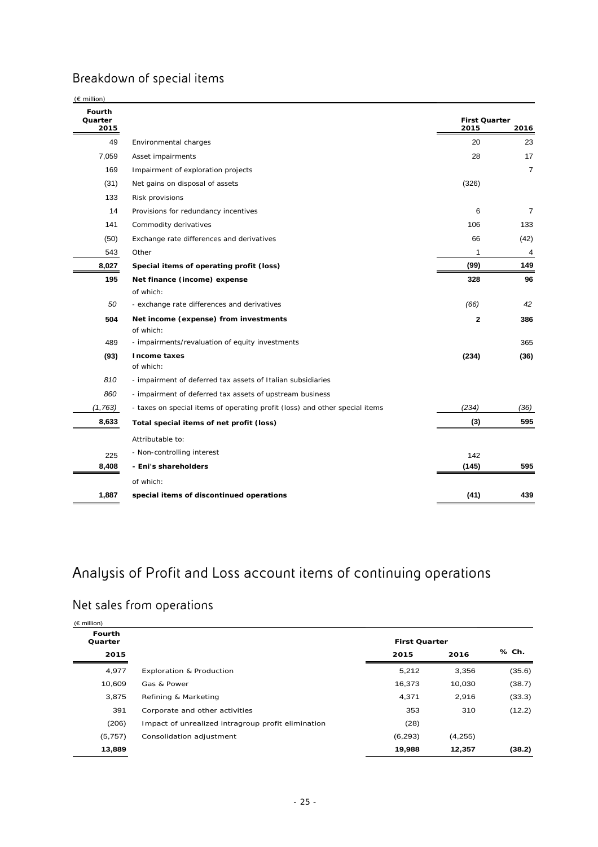## Breakdown of special items

| Fourth<br>Quarter<br>2015 |                                                                             | <b>First Quarter</b><br>2015 | 2016           |
|---------------------------|-----------------------------------------------------------------------------|------------------------------|----------------|
| 49                        | Environmental charges                                                       | 20                           | 23             |
| 7,059                     | Asset impairments                                                           | 28                           | 17             |
| 169                       | Impairment of exploration projects                                          |                              | $\overline{7}$ |
| (31)                      | Net gains on disposal of assets                                             | (326)                        |                |
| 133                       | Risk provisions                                                             |                              |                |
| 14                        | Provisions for redundancy incentives                                        | 6                            | $\overline{7}$ |
| 141                       | Commodity derivatives                                                       | 106                          | 133            |
| (50)                      | Exchange rate differences and derivatives                                   | 66                           | (42)           |
| 543                       | Other                                                                       | 1                            | 4              |
| 8,027                     | Special items of operating profit (loss)                                    | (99)                         | 149            |
| 195                       | Net finance (income) expense                                                | 328                          | 96             |
|                           | of which:                                                                   |                              |                |
| 50                        | - exchange rate differences and derivatives                                 | (66)                         | 42             |
| 504                       | Net income (expense) from investments<br>of which:                          | $\mathbf{2}$                 | 386            |
| 489                       | - impairments/revaluation of equity investments                             |                              | 365            |
| (93)                      | <b>Income taxes</b><br>of which:                                            | (234)                        | (36)           |
| 810                       | - impairment of deferred tax assets of Italian subsidiaries                 |                              |                |
| 860                       | - impairment of deferred tax assets of upstream business                    |                              |                |
| (1,763)                   | - taxes on special items of operating profit (loss) and other special items | (234)                        | (36)           |
| 8,633                     | Total special items of net profit (loss)                                    | (3)                          | 595            |
|                           | Attributable to:                                                            |                              |                |
| 225                       | - Non-controlling interest                                                  | 142                          |                |
| 8,408                     | - Eni's shareholders                                                        | (145)                        | 595            |
|                           | of which:                                                                   |                              |                |
| 1,887                     | special items of discontinued operations                                    | (41)                         | 439            |

## Analysis of Profit and Loss account items of continuing operations

## Net sales from operations

| $(\epsilon$ million) |                                                    |                      |         |        |
|----------------------|----------------------------------------------------|----------------------|---------|--------|
| Fourth<br>Quarter    |                                                    | <b>First Quarter</b> |         | % Ch.  |
| 2015                 |                                                    | 2015                 | 2016    |        |
| 4,977                | <b>Exploration &amp; Production</b>                | 5,212                | 3,356   | (35.6) |
| 10,609               | Gas & Power                                        | 16,373               | 10,030  | (38.7) |
| 3,875                | Refining & Marketing                               | 4,371                | 2,916   | (33.3) |
| 391                  | Corporate and other activities                     | 353                  | 310     | (12.2) |
| (206)                | Impact of unrealized intragroup profit elimination | (28)                 |         |        |
| (5,757)              | Consolidation adjustment                           | (6, 293)             | (4,255) |        |
| 13,889               |                                                    | 19,988               | 12,357  | (38.2) |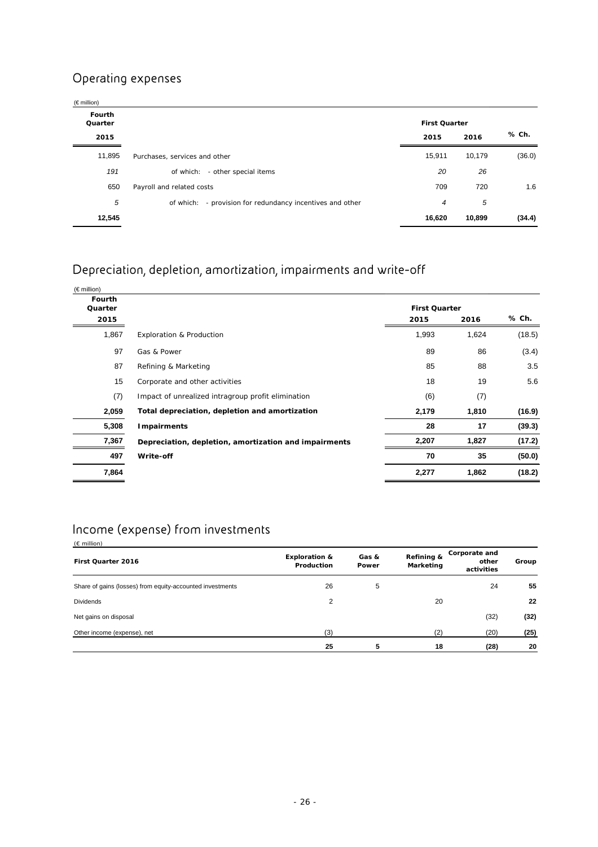## Operating expenses

| $(\epsilon$ million)     |                                                              |                      |        |        |
|--------------------------|--------------------------------------------------------------|----------------------|--------|--------|
| <b>Fourth</b><br>Quarter |                                                              | <b>First Quarter</b> |        |        |
| 2015                     |                                                              | 2015                 | 2016   | % Ch.  |
| 11,895                   | Purchases, services and other                                | 15,911               | 10,179 | (36.0) |
| 191                      | - other special items<br>of which:                           | 20                   | 26     |        |
| 650                      | Payroll and related costs                                    | 709                  | 720    | 1.6    |
| 5                        | - provision for redundancy incentives and other<br>of which: | 4                    | 5      |        |
| 12,545                   |                                                              | 16,620               | 10,899 | (34.4) |

## Depreciation, depletion, amortization, impairments and write-off

| $(\in$ million)                  |                                                       |                              |       |        |
|----------------------------------|-------------------------------------------------------|------------------------------|-------|--------|
| <b>Fourth</b><br>Quarter<br>2015 |                                                       | <b>First Quarter</b><br>2015 | 2016  | % Ch.  |
|                                  |                                                       |                              |       |        |
| 1,867                            | <b>Exploration &amp; Production</b>                   | 1,993                        | 1,624 | (18.5) |
| 97                               | Gas & Power                                           | 89                           | 86    | (3.4)  |
| 87                               | Refining & Marketing                                  | 85                           | 88    | 3.5    |
| 15                               | Corporate and other activities                        | 18                           | 19    | 5.6    |
| (7)                              | Impact of unrealized intragroup profit elimination    | (6)                          | (7)   |        |
| 2,059                            | Total depreciation, depletion and amortization        | 2,179                        | 1,810 | (16.9) |
| 5,308                            | <b>Impairments</b>                                    | 28                           | 17    | (39.3) |
| 7,367                            | Depreciation, depletion, amortization and impairments | 2,207                        | 1,827 | (17.2) |
| 497                              | Write-off                                             | 70                           | 35    | (50.0) |
| 7,864                            |                                                       | 2,277                        | 1,862 | (18.2) |
|                                  |                                                       |                              |       |        |

## Income (expense) from investments

| $(E \text{ million})$                                     |                                        |                |                         |                                      |       |
|-----------------------------------------------------------|----------------------------------------|----------------|-------------------------|--------------------------------------|-------|
| First Quarter 2016                                        | <b>Exploration &amp;</b><br>Production | Gas &<br>Power | Refining &<br>Marketing | Corporate and<br>other<br>activities | Group |
| Share of gains (losses) from equity-accounted investments | 26                                     | 5              |                         | 24                                   | 55    |
| <b>Dividends</b>                                          | $\overline{2}$                         |                | 20                      |                                      | 22    |
| Net gains on disposal                                     |                                        |                |                         | (32)                                 | (32)  |
| Other income (expense), net                               | (3)                                    |                | (2)                     | (20)                                 | (25)  |
|                                                           | 25                                     | 5              | 18                      | (28)                                 | 20    |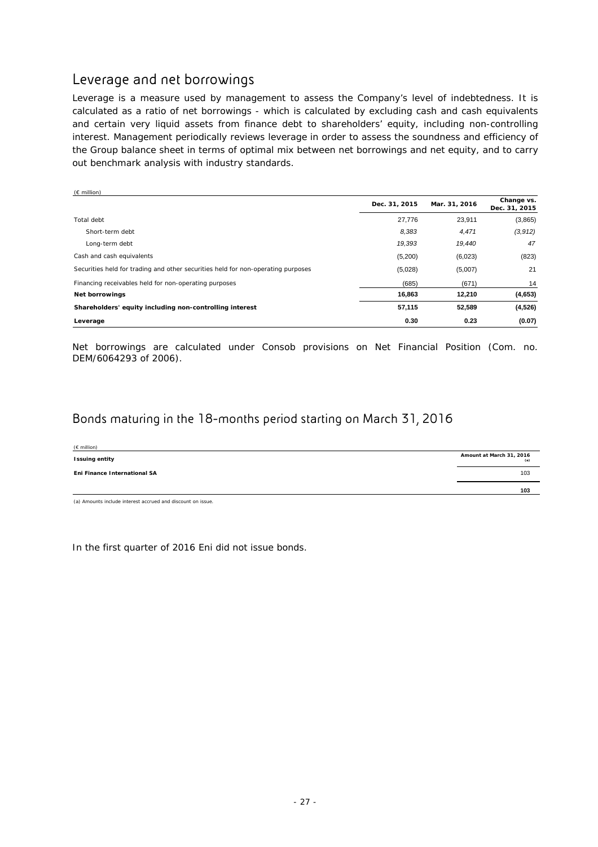## Leverage and net borrowings

Leverage is a measure used by management to assess the Company's level of indebtedness. It is calculated as a ratio of net borrowings - which is calculated by excluding cash and cash equivalents and certain very liquid assets from finance debt to shareholders' equity, including non-controlling interest. Management periodically reviews leverage in order to assess the soundness and efficiency of the Group balance sheet in terms of optimal mix between net borrowings and net equity, and to carry out benchmark analysis with industry standards.

| $(E \text{ million})$                                                            |               |               |                             |
|----------------------------------------------------------------------------------|---------------|---------------|-----------------------------|
|                                                                                  | Dec. 31, 2015 | Mar. 31, 2016 | Change vs.<br>Dec. 31, 2015 |
| Total debt                                                                       | 27,776        | 23,911        | (3,865)                     |
| Short-term debt                                                                  | 8,383         | 4,471         | (3,912)                     |
| Long-term debt                                                                   | 19,393        | 19,440        | 47                          |
| Cash and cash equivalents                                                        | (5,200)       | (6,023)       | (823)                       |
| Securities held for trading and other securities held for non-operating purposes | (5,028)       | (5,007)       | 21                          |
| Financing receivables held for non-operating purposes                            | (685)         | (671)         | 14                          |
| <b>Net borrowings</b>                                                            | 16,863        | 12,210        | (4,653)                     |
| Shareholders' equity including non-controlling interest                          | 57,115        | 52,589        | (4,526)                     |
| Leverage                                                                         | 0.30          | 0.23          | (0.07)                      |

Net borrowings are calculated under Consob provisions on Net Financial Position (Com. no. DEM/6064293 of 2006).

### Bonds maturing in the 18-months period starting on March 31, 2016

| $(E \text{ million})$        |                                 |
|------------------------------|---------------------------------|
| <b>Issuing entity</b>        | Amount at March 31, 2016<br>(a) |
| Eni Finance International SA | 103                             |
|                              | 103                             |

(a) Amounts include interest accrued and discount on issue.

In the first quarter of 2016 Eni did not issue bonds.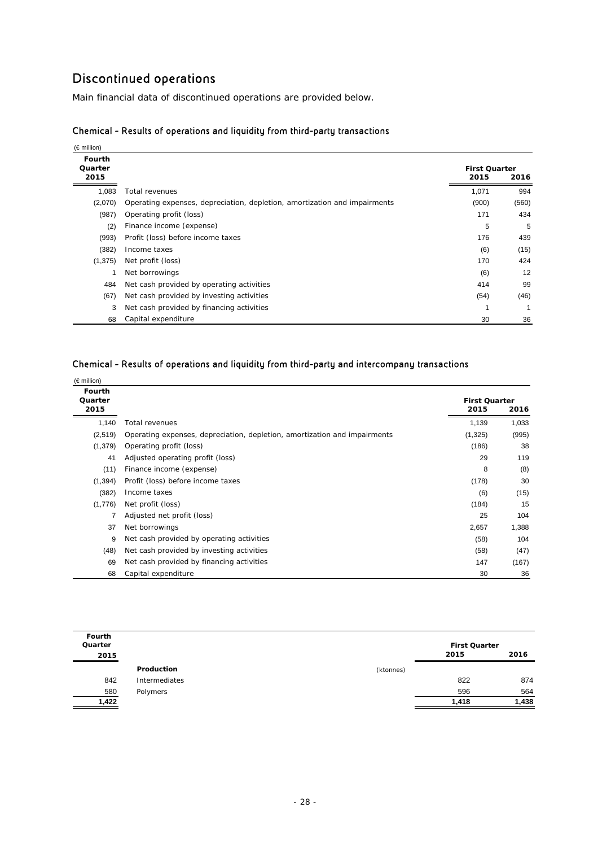### Discontinued operations

Main financial data of discontinued operations are provided below.

| $(\in$ million)                  |                                                                           |                              |       |
|----------------------------------|---------------------------------------------------------------------------|------------------------------|-------|
| <b>Fourth</b><br>Quarter<br>2015 |                                                                           | <b>First Quarter</b><br>2015 | 2016  |
| 1,083                            | Total revenues                                                            | 1,071                        | 994   |
| (2,070)                          | Operating expenses, depreciation, depletion, amortization and impairments | (900)                        | (560) |
| (987)                            | Operating profit (loss)                                                   | 171                          | 434   |
| (2)                              | Finance income (expense)                                                  | 5                            | 5     |
| (993)                            | Profit (loss) before income taxes                                         | 176                          | 439   |
| (382)                            | Income taxes                                                              | (6)                          | (15)  |
| (1, 375)                         | Net profit (loss)                                                         | 170                          | 424   |
|                                  | Net borrowings                                                            | (6)                          | 12    |
| 484                              | Net cash provided by operating activities                                 | 414                          | 99    |
| (67)                             | Net cash provided by investing activities                                 | (54)                         | (46)  |
| 3                                | Net cash provided by financing activities                                 |                              | 1     |
| 68                               | Capital expenditure                                                       | 30                           | 36    |

### Chemical - Results of operations and liquidity from third-party transactions

#### Chemical - Results of operations and liquidity from third-party and intercompany transactions

| $(\epsilon \text{million})$      |                                                                           |                              |       |
|----------------------------------|---------------------------------------------------------------------------|------------------------------|-------|
| <b>Fourth</b><br>Quarter<br>2015 |                                                                           | <b>First Quarter</b><br>2015 | 2016  |
| 1,140                            | Total revenues                                                            | 1,139                        | 1,033 |
| (2,519)                          | Operating expenses, depreciation, depletion, amortization and impairments | (1,325)                      | (995) |
| (1,379)                          | Operating profit (loss)                                                   | (186)                        | 38    |
| 41                               | Adjusted operating profit (loss)                                          | 29                           | 119   |
| (11)                             | Finance income (expense)                                                  | 8                            | (8)   |
| (1, 394)                         | Profit (loss) before income taxes                                         | (178)                        | 30    |
| (382)                            | Income taxes                                                              | (6)                          | (15)  |
| (1,776)                          | Net profit (loss)                                                         | (184)                        | 15    |
|                                  | Adjusted net profit (loss)                                                | 25                           | 104   |
| 37                               | Net borrowings                                                            | 2,657                        | 1,388 |
| 9                                | Net cash provided by operating activities                                 | (58)                         | 104   |
| (48)                             | Net cash provided by investing activities                                 | (58)                         | (47)  |
| 69                               | Net cash provided by financing activities                                 | 147                          | (167) |
| 68                               | Capital expenditure                                                       | 30                           | 36    |

| Fourth<br>Quarter |               |           | <b>First Quarter</b> |       |
|-------------------|---------------|-----------|----------------------|-------|
| 2015              |               |           | 2015                 | 2016  |
|                   | Production    | (ktonnes) |                      |       |
| 842               | Intermediates |           | 822                  | 874   |
| 580               | Polymers      |           | 596                  | 564   |
| 1,422             |               |           | 1,418                | 1,438 |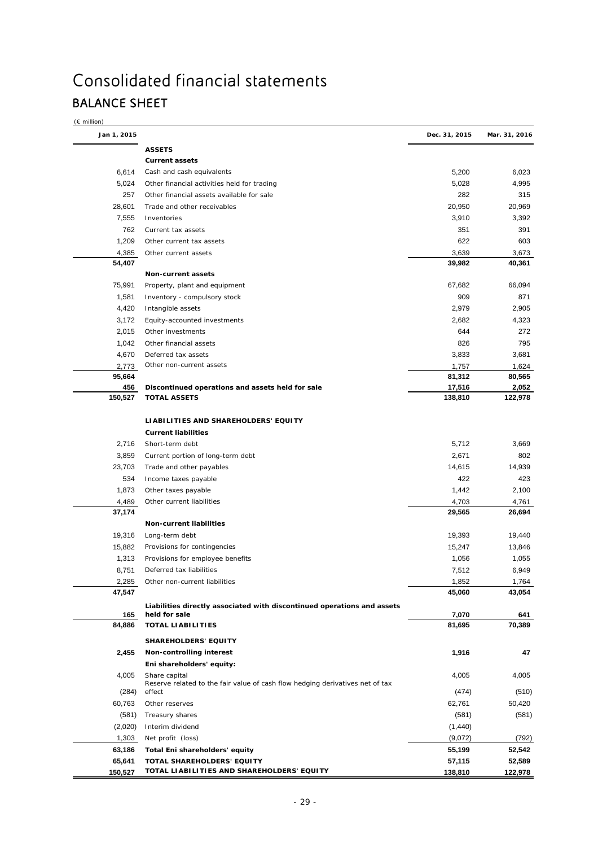# Consolidated financial statements BALANCE SHEET

| $\epsilon$ million) |  |
|---------------------|--|
|                     |  |

| Jan 1, 2015    |                                                                               | Dec. 31, 2015     | Mar. 31, 2016    |
|----------------|-------------------------------------------------------------------------------|-------------------|------------------|
|                | <b>ASSETS</b>                                                                 |                   |                  |
|                | <b>Current assets</b>                                                         |                   |                  |
| 6,614          | Cash and cash equivalents                                                     | 5,200             | 6,023            |
| 5,024          | Other financial activities held for trading                                   | 5,028             | 4,995            |
| 257            | Other financial assets available for sale                                     | 282               | 315              |
| 28,601         | Trade and other receivables                                                   | 20,950            | 20,969           |
| 7,555          | Inventories                                                                   | 3,910             | 3,392            |
| 762            | Current tax assets                                                            | 351               | 391              |
| 1,209          | Other current tax assets                                                      | 622               | 603              |
| 4,385          | Other current assets                                                          | 3,639             | 3,673            |
| 54,407         |                                                                               | 39,982            | 40,361           |
|                | Non-current assets                                                            |                   |                  |
| 75,991         | Property, plant and equipment                                                 | 67,682            | 66,094           |
| 1,581          | Inventory - compulsory stock                                                  | 909               | 871              |
| 4,420          | Intangible assets                                                             | 2,979             | 2,905            |
| 3,172          | Equity-accounted investments                                                  | 2,682             | 4,323            |
| 2,015          | Other investments                                                             | 644               | 272              |
| 1,042          | Other financial assets                                                        | 826               | 795              |
| 4,670          | Deferred tax assets                                                           | 3,833             | 3,681            |
| 2,773          | Other non-current assets                                                      | 1,757             | 1,624            |
| 95,664         |                                                                               | 81,312            | 80,565           |
| 456<br>150,527 | Discontinued operations and assets held for sale<br><b>TOTAL ASSETS</b>       | 17,516<br>138,810 | 2,052<br>122,978 |
|                |                                                                               |                   |                  |
|                | LIABILITIES AND SHAREHOLDERS' EQUITY                                          |                   |                  |
|                | <b>Current liabilities</b>                                                    |                   |                  |
| 2,716          | Short-term debt                                                               | 5,712             | 3,669            |
| 3,859          | Current portion of long-term debt                                             | 2,671             | 802              |
| 23,703         | Trade and other payables                                                      | 14,615            | 14,939           |
| 534            | Income taxes payable                                                          | 422               | 423              |
| 1,873          | Other taxes payable                                                           | 1,442             | 2,100            |
| 4,489          | Other current liabilities                                                     | 4,703             | 4,761            |
| 37,174         |                                                                               | 29,565            | 26,694           |
|                | <b>Non-current liabilities</b>                                                |                   |                  |
| 19,316         | Long-term debt                                                                | 19,393            | 19,440           |
| 15,882         | Provisions for contingencies                                                  | 15,247            | 13,846           |
| 1,313          | Provisions for employee benefits                                              | 1,056             | 1,055            |
| 8,751          | Deferred tax liabilities                                                      | 7,512             | 6,949            |
| 2,285          | Other non-current liabilities                                                 | 1,852             | 1,764            |
| 47,547         |                                                                               | 45,060            | 43,054           |
|                | Liabilities directly associated with discontinued operations and assets       |                   |                  |
| 165            | held for sale                                                                 | 7,070             | 641              |
| 84,886         | <b>TOTAL LIABILITIES</b>                                                      | 81,695            | 70,389           |
|                | <b>SHAREHOLDERS' EQUITY</b>                                                   |                   |                  |
| 2,455          | Non-controlling interest                                                      | 1,916             | 47               |
|                | Eni shareholders' equity:                                                     |                   |                  |
| 4,005          | Share capital                                                                 | 4,005             | 4,005            |
|                | Reserve related to the fair value of cash flow hedging derivatives net of tax |                   |                  |
| (284)          | effect                                                                        | (474)             | (510)            |
| 60,763         | Other reserves                                                                | 62,761            | 50,420           |
| (581)          | Treasury shares                                                               | (581)             | (581)            |
| (2,020)        | Interim dividend                                                              | (1,440)           |                  |
| 1,303          | Net profit (loss)                                                             | (9,072)           | (792)            |
| 63,186         | Total Eni shareholders' equity                                                | 55,199            | 52,542           |
| 65,641         | TOTAL SHAREHOLDERS' EQUITY                                                    | 57,115            | 52,589           |
| 150,527        | TOTAL LIABILITIES AND SHAREHOLDERS' EQUITY                                    | 138,810           | 122,978          |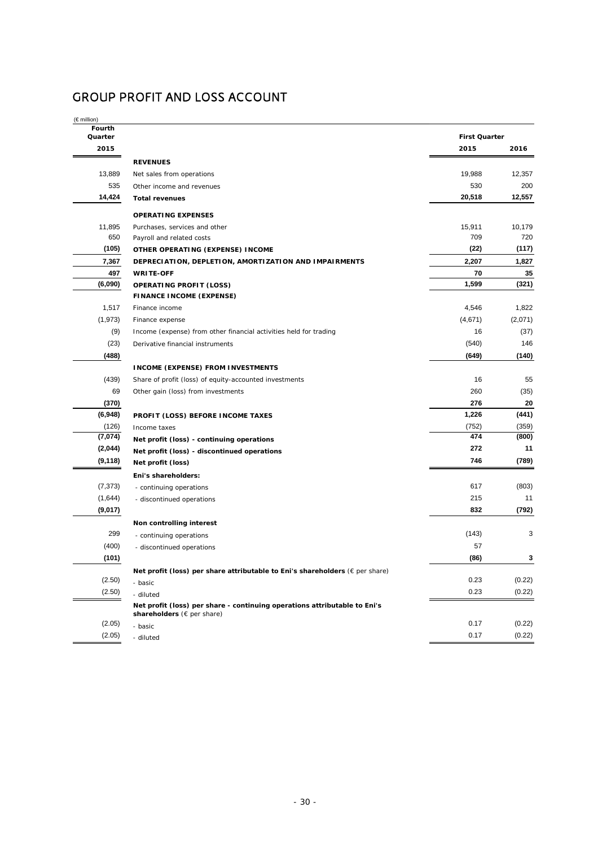## GROUP PROFIT AND LOSS ACCOUNT

(€ million)

| Fourth<br>Quarter |                                                                                                         | <b>First Quarter</b> |         |
|-------------------|---------------------------------------------------------------------------------------------------------|----------------------|---------|
| 2015              |                                                                                                         | 2015                 | 2016    |
|                   | <b>REVENUES</b>                                                                                         |                      |         |
| 13,889            | Net sales from operations                                                                               | 19,988               | 12,357  |
| 535               | Other income and revenues                                                                               | 530                  | 200     |
| 14,424            | <b>Total revenues</b>                                                                                   | 20,518               | 12,557  |
|                   | <b>OPERATING EXPENSES</b>                                                                               |                      |         |
| 11,895            | Purchases, services and other                                                                           | 15,911               | 10,179  |
| 650               | Payroll and related costs                                                                               | 709                  | 720     |
| (105)             | OTHER OPERATING (EXPENSE) INCOME                                                                        | (22)                 | (117)   |
| 7,367             | DEPRECIATION, DEPLETION, AMORTIZATION AND IMPAIRMENTS                                                   | 2,207                | 1,827   |
| 497               | <b>WRITE-OFF</b>                                                                                        | 70                   | 35      |
| (6,090)           | <b>OPERATING PROFIT (LOSS)</b>                                                                          | 1,599                | (321)   |
|                   | <b>FINANCE INCOME (EXPENSE)</b>                                                                         |                      |         |
| 1,517             | Finance income                                                                                          | 4,546                | 1,822   |
| (1, 973)          | Finance expense                                                                                         | (4,671)              | (2,071) |
| (9)               | Income (expense) from other financial activities held for trading                                       | 16                   | (37)    |
| (23)              | Derivative financial instruments                                                                        | (540)                | 146     |
| (488)             |                                                                                                         | (649)                | (140)   |
|                   | <b>INCOME (EXPENSE) FROM INVESTMENTS</b>                                                                |                      |         |
| (439)             | Share of profit (loss) of equity-accounted investments                                                  | 16                   | 55      |
| 69                | Other gain (loss) from investments                                                                      | 260                  | (35)    |
| (370)             |                                                                                                         | 276                  | 20      |
| (6,948)           | PROFIT (LOSS) BEFORE INCOME TAXES                                                                       | 1,226                | (441)   |
| (126)             | Income taxes                                                                                            | (752)                | (359)   |
| (7,074)           | Net profit (loss) - continuing operations                                                               | 474                  | (800)   |
| (2,044)           | Net profit (loss) - discontinued operations                                                             | 272                  | 11      |
| (9, 118)          | Net profit (loss)                                                                                       | 746                  | (789)   |
|                   | Eni's shareholders:                                                                                     |                      |         |
| (7, 373)          | - continuing operations                                                                                 | 617                  | (803)   |
| (1,644)           | - discontinued operations                                                                               | 215                  | 11      |
| (9,017)           |                                                                                                         | 832                  | (792)   |
|                   | Non controlling interest                                                                                |                      |         |
| 299               | - continuing operations                                                                                 | (143)                | 3       |
| (400)             | - discontinued operations                                                                               | 57                   |         |
| (101)             |                                                                                                         | (86)                 | 3       |
|                   | Net profit (loss) per share attributable to Eni's shareholders ( $\epsilon$ per share)                  |                      |         |
| (2.50)            | - basic                                                                                                 | 0.23                 | (0.22)  |
| (2.50)            | - diluted                                                                                               | 0.23                 | (0.22)  |
|                   | Net profit (loss) per share - continuing operations attributable to Eni's<br>shareholders (€ per share) |                      |         |
| (2.05)            | - basic                                                                                                 | 0.17                 | (0.22)  |
| (2.05)            | - diluted                                                                                               | 0.17                 | (0.22)  |
|                   |                                                                                                         |                      |         |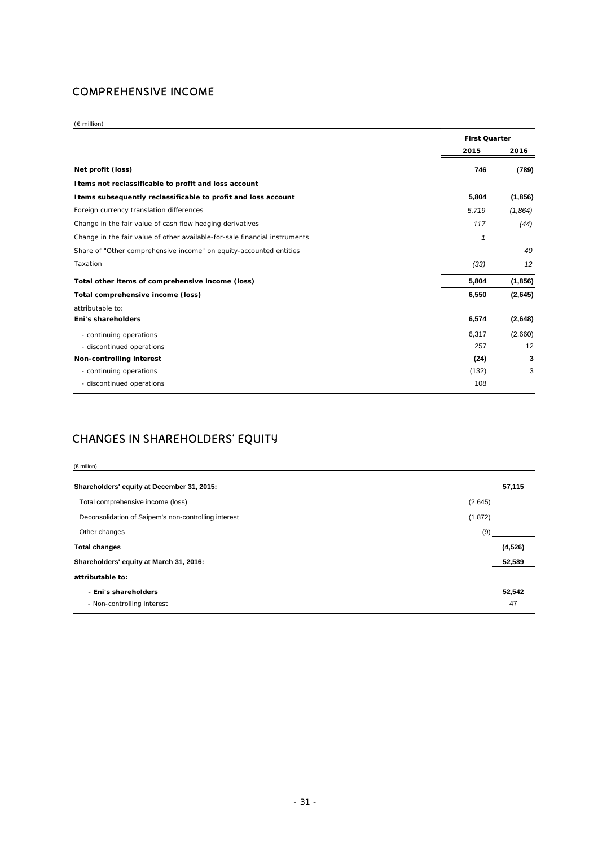### COMPREHENSIVE INCOME

(€ million)

|                                                                            | <b>First Quarter</b> |                   |
|----------------------------------------------------------------------------|----------------------|-------------------|
|                                                                            | 2015                 | 2016              |
| Net profit (loss)                                                          | 746                  | (789)             |
| I tems not reclassificable to profit and loss account                      |                      |                   |
| I tems subsequently reclassificable to profit and loss account             | 5,804                | (1, 856)          |
| Foreign currency translation differences                                   | 5,719                | (1,864)           |
| Change in the fair value of cash flow hedging derivatives                  | 117                  | (44)              |
| Change in the fair value of other available-for-sale financial instruments | 1                    |                   |
| Share of "Other comprehensive income" on equity-accounted entities         |                      | 40                |
| Taxation                                                                   | (33)                 | $12 \overline{ }$ |
| Total other items of comprehensive income (loss)                           | 5,804                | (1,856)           |
| Total comprehensive income (loss)                                          | 6,550                | (2,645)           |
| attributable to:                                                           |                      |                   |
| Eni's shareholders                                                         | 6,574                | (2,648)           |
| - continuing operations                                                    | 6,317                | (2,660)           |
| - discontinued operations                                                  | 257                  | 12                |
| Non-controlling interest                                                   | (24)                 | 3                 |
| - continuing operations                                                    | (132)                | 3                 |
| - discontinued operations                                                  | 108                  |                   |

### CHANGES IN SHAREHOLDERS' EQUITY

| $(\epsilon$ milion)                                  |         |          |  |
|------------------------------------------------------|---------|----------|--|
| Shareholders' equity at December 31, 2015:           |         |          |  |
| Total comprehensive income (loss)                    | (2,645) |          |  |
| Deconsolidation of Saipem's non-controlling interest | (1,872) |          |  |
| Other changes                                        | (9)     |          |  |
| <b>Total changes</b>                                 |         | (4, 526) |  |
| Shareholders' equity at March 31, 2016:              |         | 52,589   |  |
| attributable to:                                     |         |          |  |
| - Eni's shareholders                                 |         | 52,542   |  |
| - Non-controlling interest                           |         | 47       |  |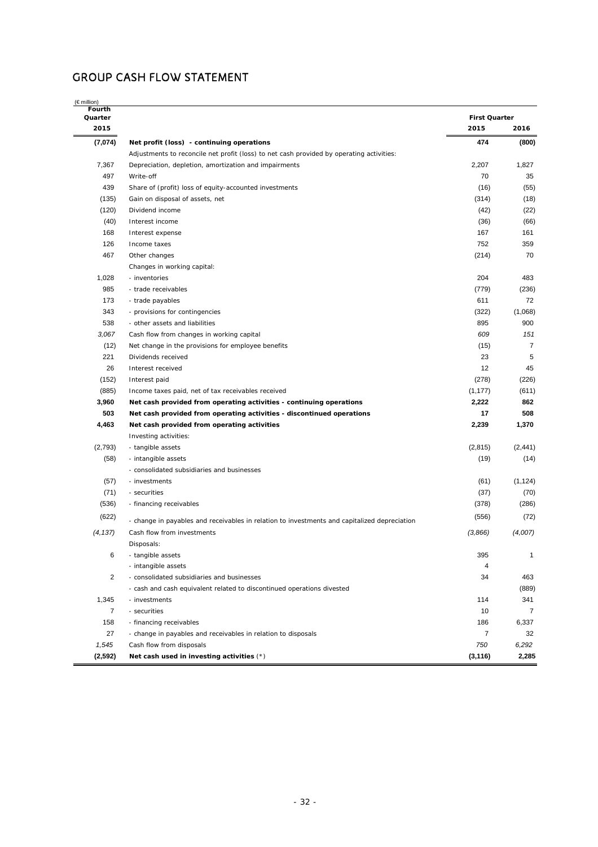### GROUP CASH FLOW STATEMENT

| Fourth<br>Quarter       |                                                                                              | <b>First Quarter</b> |                |
|-------------------------|----------------------------------------------------------------------------------------------|----------------------|----------------|
| 2015                    |                                                                                              | 2015                 | 2016           |
| (7,074)                 | Net profit (loss) - continuing operations                                                    | 474                  | (800)          |
|                         | Adjustments to reconcile net profit (loss) to net cash provided by operating activities:     |                      |                |
| 7,367                   | Depreciation, depletion, amortization and impairments                                        | 2,207                | 1,827          |
| 497                     | Write-off                                                                                    | 70                   | 35             |
| 439                     | Share of (profit) loss of equity-accounted investments                                       | (16)                 | (55)           |
| (135)                   | Gain on disposal of assets, net                                                              | (314)                | (18)           |
| (120)                   | Dividend income                                                                              | (42)                 | (22)           |
| (40)                    | Interest income                                                                              | (36)                 | (66)           |
| 168                     | Interest expense                                                                             | 167                  | 161            |
| 126                     | Income taxes                                                                                 | 752                  | 359            |
| 467                     | Other changes                                                                                | (214)                | 70             |
|                         | Changes in working capital:                                                                  |                      |                |
| 1,028                   | - inventories                                                                                | 204                  | 483            |
| 985                     | - trade receivables                                                                          | (779)                | (236)          |
| 173                     | - trade payables                                                                             | 611                  | 72             |
| 343                     | - provisions for contingencies                                                               | (322)                | (1,068)        |
| 538                     | - other assets and liabilities                                                               | 895                  | 900            |
| 3,067                   | Cash flow from changes in working capital                                                    | 609                  | 151            |
| (12)                    | Net change in the provisions for employee benefits                                           | (15)                 | $\overline{7}$ |
| 221                     | Dividends received                                                                           | 23                   | 5              |
| 26                      | Interest received                                                                            | 12                   | 45             |
| (152)                   | Interest paid                                                                                | (278)                | (226)          |
| (885)                   | Income taxes paid, net of tax receivables received                                           | (1, 177)             | (611)          |
| 3,960                   | Net cash provided from operating activities - continuing operations                          | 2,222                | 862            |
| 503                     | Net cash provided from operating activities - discontinued operations                        | 17                   | 508            |
| 4,463                   | Net cash provided from operating activities                                                  | 2,239                | 1,370          |
|                         |                                                                                              |                      |                |
| (2,793)                 | Investing activities:                                                                        | (2, 815)             | (2, 441)       |
|                         | - tangible assets                                                                            |                      |                |
| (58)                    | - intangible assets                                                                          | (19)                 | (14)           |
|                         | - consolidated subsidiaries and businesses                                                   |                      |                |
| (57)                    | - investments                                                                                | (61)                 | (1, 124)       |
| (71)                    | - securities                                                                                 | (37)                 | (70)           |
| (536)                   | - financing receivables                                                                      | (378)                | (286)          |
| (622)                   | - change in payables and receivables in relation to investments and capitalized depreciation | (556)                | (72)           |
| (4, 137)                | Cash flow from investments                                                                   | (3,866)              | (4,007)        |
|                         | Disposals:                                                                                   |                      |                |
| 6                       | - tangible assets                                                                            | 395                  | 1              |
|                         | - intangible assets                                                                          | 4                    |                |
| $\overline{\mathbf{c}}$ | - consolidated subsidiaries and businesses                                                   | 34                   | 463            |
|                         | - cash and cash equivalent related to discontinued operations divested                       |                      | (889)          |
| 1,345                   | - investments                                                                                | 114                  | 341            |
| $\overline{7}$          | - securities                                                                                 | 10                   | $\overline{7}$ |
| 158                     | - financing receivables                                                                      | 186                  | 6,337          |
| 27                      | - change in payables and receivables in relation to disposals                                | $\overline{7}$       | 32             |
| 1,545                   | Cash flow from disposals                                                                     | 750                  | 6,292          |
| (2,592)                 | Net cash used in investing activities $(*)$                                                  | (3, 116)             | 2,285          |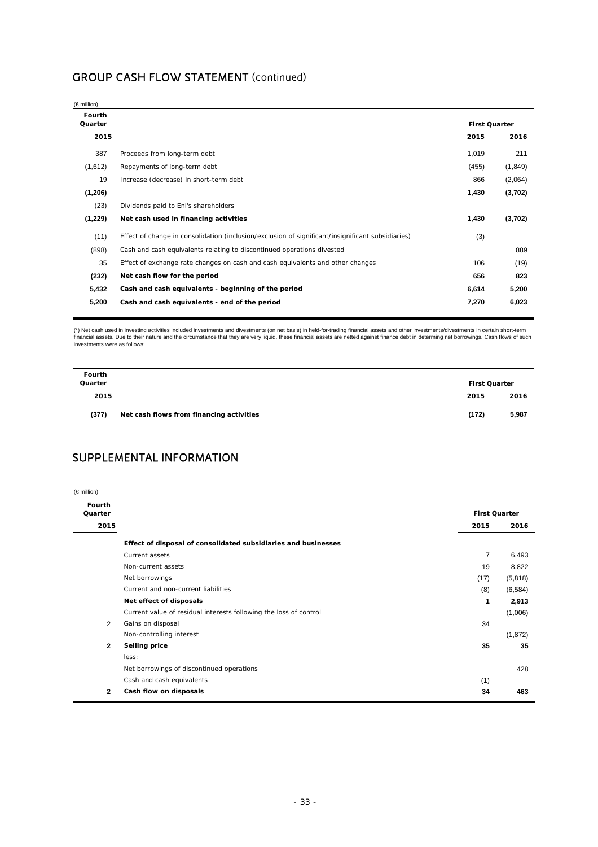### GROUP CASH FLOW STATEMENT (continued)

| $(\in$ million)           |                                                                                                   |                              |         |
|---------------------------|---------------------------------------------------------------------------------------------------|------------------------------|---------|
| Fourth<br>Quarter<br>2015 |                                                                                                   | <b>First Quarter</b><br>2015 | 2016    |
| 387                       | Proceeds from long-term debt                                                                      | 1,019                        | 211     |
| (1,612)                   | Repayments of long-term debt                                                                      | (455)                        | (1,849) |
| 19                        | Increase (decrease) in short-term debt                                                            | 866                          | (2,064) |
| (1,206)                   |                                                                                                   | 1,430                        | (3,702) |
| (23)                      | Dividends paid to Eni's shareholders                                                              |                              |         |
| (1,229)                   | Net cash used in financing activities                                                             | 1,430                        | (3,702) |
| (11)                      | Effect of change in consolidation (inclusion/exclusion of significant/insignificant subsidiaries) | (3)                          |         |
| (898)                     | Cash and cash equivalents relating to discontinued operations divested                            |                              | 889     |
| 35                        | Effect of exchange rate changes on cash and cash equivalents and other changes                    | 106                          | (19)    |
| (232)                     | Net cash flow for the period                                                                      | 656                          | 823     |
| 5,432                     | Cash and cash equivalents - beginning of the period                                               | 6,614                        | 5,200   |
| 5,200                     | Cash and cash equivalents - end of the period                                                     | 7,270                        | 6,023   |
|                           |                                                                                                   |                              |         |

(\*) Net cash used in investing activities included investments and divestments (on net basis) in held-for-trading financial assets and other investments/divestments in certain short-term financial assets. Due to their nature and the circumstance that they are very liquid, these financial assets are netted against finance debt in determing net borrowings. Cash flows of such investments were as follows:

| Fourth<br>Quarter |                                          | <b>First Quarter</b> |       |
|-------------------|------------------------------------------|----------------------|-------|
| 2015              |                                          | 2015                 | 2016  |
| (377)             | Net cash flows from financing activities | (172)                | 5,987 |

### SUPPLEMENTAL INFORMATION

| (€ million)       |                                                                   |                      |          |
|-------------------|-------------------------------------------------------------------|----------------------|----------|
| Fourth<br>Quarter |                                                                   | <b>First Quarter</b> |          |
| 2015              |                                                                   | 2015                 | 2016     |
|                   | Effect of disposal of consolidated subsidiaries and businesses    |                      |          |
|                   | Current assets                                                    | 7                    | 6,493    |
|                   | Non-current assets                                                | 19                   | 8,822    |
|                   | Net borrowings                                                    | (17)                 | (5,818)  |
|                   | Current and non-current liabilities                               | (8)                  | (6, 584) |
|                   | Net effect of disposals                                           | 1                    | 2,913    |
|                   | Current value of residual interests following the loss of control |                      | (1,006)  |
| 2                 | Gains on disposal                                                 | 34                   |          |
|                   | Non-controlling interest                                          |                      | (1,872)  |
| $\mathbf{2}$      | Selling price                                                     | 35                   | 35       |
|                   | less:                                                             |                      |          |
|                   | Net borrowings of discontinued operations                         |                      | 428      |
|                   | Cash and cash equivalents                                         | (1)                  |          |
| 2                 | Cash flow on disposals                                            | 34                   | 463      |
|                   |                                                                   |                      |          |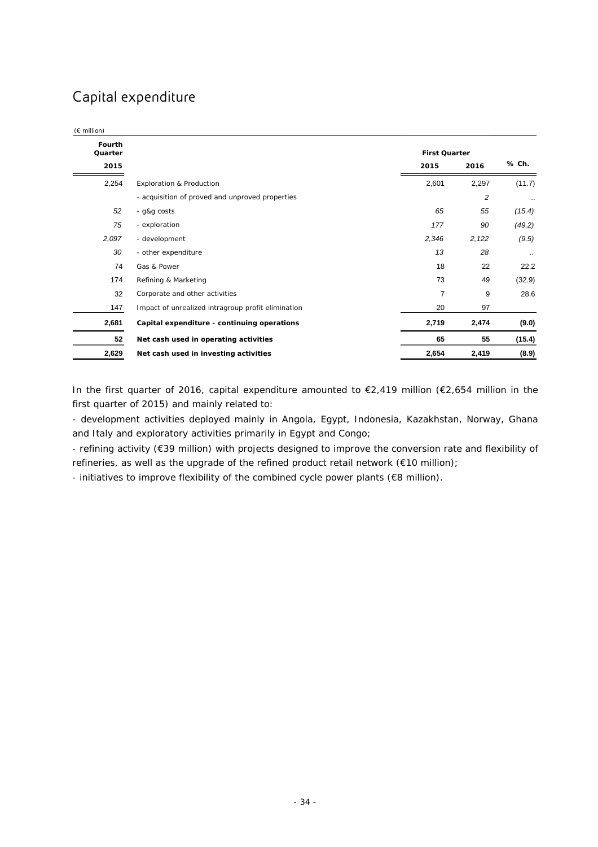## Capital expenditure

| Fourth  |                                                    |                      |       |           |
|---------|----------------------------------------------------|----------------------|-------|-----------|
| Quarter |                                                    | <b>First Quarter</b> |       |           |
| 2015    |                                                    | 2015                 | 2016  | % Ch.     |
| 2,254   | Exploration & Production                           | 2,601                | 2,297 | (11.7)    |
|         | - acquisition of proved and unproved properties    |                      | 2     | $\ddotsc$ |
| 52      | - g&g costs                                        | 65                   | 55    | (15.4)    |
| 75      | - exploration                                      | 177                  | 90    | (49.2)    |
| 2,097   | - development                                      | 2,346                | 2,122 | (9.5)     |
| 30      | - other expenditure                                | 13                   | 28    | $\cdot$ . |
| 74      | Gas & Power                                        | 18                   | 22    | 22.2      |
| 174     | Refining & Marketing                               | 73                   | 49    | (32.9)    |
| 32      | Corporate and other activities                     | $\overline{7}$       | 9     | 28.6      |
| 147     | Impact of unrealized intragroup profit elimination | 20                   | 97    |           |
| 2,681   | Capital expenditure - continuing operations        | 2,719                | 2,474 | (9.0)     |
| 52      | Net cash used in operating activities              | 65                   | 55    | (15.4)    |
| 2,629   | Net cash used in investing activities              | 2,654                | 2,419 | (8.9)     |

In the first quarter of 2016, capital expenditure amounted to €2,419 million (€2,654 million in the first quarter of 2015) and mainly related to:

- development activities deployed mainly in Angola, Egypt, Indonesia, Kazakhstan, Norway, Ghana and Italy and exploratory activities primarily in Egypt and Congo;

- refining activity (€39 million) with projects designed to improve the conversion rate and flexibility of refineries, as well as the upgrade of the refined product retail network (€10 million);

- initiatives to improve flexibility of the combined cycle power plants (€8 million).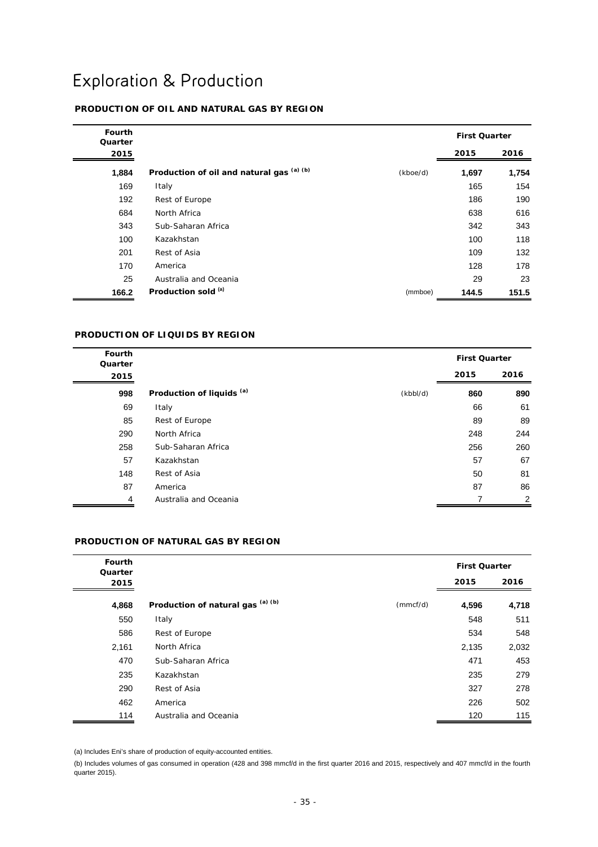# Exploration & Production

### **PRODUCTION OF OIL AND NATURAL GAS BY REGION**

| Fourth<br>Quarter |                                           |          | <b>First Quarter</b> |       |
|-------------------|-------------------------------------------|----------|----------------------|-------|
| 2015              |                                           |          | 2015                 | 2016  |
| 1,884             | Production of oil and natural gas (a) (b) | (kboe/d) | 1,697                | 1,754 |
| 169               | Italy                                     |          | 165                  | 154   |
| 192               | Rest of Europe                            |          | 186                  | 190   |
| 684               | North Africa                              |          | 638                  | 616   |
| 343               | Sub-Saharan Africa                        |          | 342                  | 343   |
| 100               | Kazakhstan                                |          | 100                  | 118   |
| 201               | Rest of Asia                              |          | 109                  | 132   |
| 170               | America                                   |          | 128                  | 178   |
| 25                | Australia and Oceania                     |          | 29                   | 23    |
| 166.2             | Production sold (a)                       | (mmboe)  | 144.5                | 151.5 |

#### **PRODUCTION OF LIQUIDS BY REGION**

| <b>Fourth</b><br>Quarter |                                      |          | <b>First Quarter</b> |      |
|--------------------------|--------------------------------------|----------|----------------------|------|
| 2015                     |                                      |          | 2015                 | 2016 |
| 998                      | Production of liquids <sup>(a)</sup> | (kbbI/d) | 860                  | 890  |
| 69                       | Italy                                |          | 66                   | 61   |
| 85                       | Rest of Europe                       |          | 89                   | 89   |
| 290                      | North Africa                         |          | 248                  | 244  |
| 258                      | Sub-Saharan Africa                   |          | 256                  | 260  |
| 57                       | Kazakhstan                           |          | 57                   | 67   |
| 148                      | Rest of Asia                         |          | 50                   | 81   |
| 87                       | America                              |          | 87                   | 86   |
| 4                        | Australia and Oceania                |          | 7                    | 2    |

#### **PRODUCTION OF NATURAL GAS BY REGION**

| <b>Fourth</b><br>Quarter |                                   |          | <b>First Quarter</b> |       |
|--------------------------|-----------------------------------|----------|----------------------|-------|
| 2015                     |                                   |          | 2015                 | 2016  |
| 4,868                    | Production of natural gas (a) (b) | (mmcf/d) | 4,596                | 4,718 |
| 550                      | Italy                             |          | 548                  | 511   |
| 586                      | Rest of Europe                    |          | 534                  | 548   |
| 2,161                    | North Africa                      |          | 2,135                | 2,032 |
| 470                      | Sub-Saharan Africa                |          | 471                  | 453   |
| 235                      | Kazakhstan                        |          | 235                  | 279   |
| 290                      | Rest of Asia                      |          | 327                  | 278   |
| 462                      | America                           |          | 226                  | 502   |
| 114                      | Australia and Oceania             |          | 120                  | 115   |

(a) Includes Eni's share of production of equity-accounted entities.

(b) Includes volumes of gas consumed in operation (428 and 398 mmcf/d in the first quarter 2016 and 2015, respectively and 407 mmcf/d in the fourth quarter 2015).